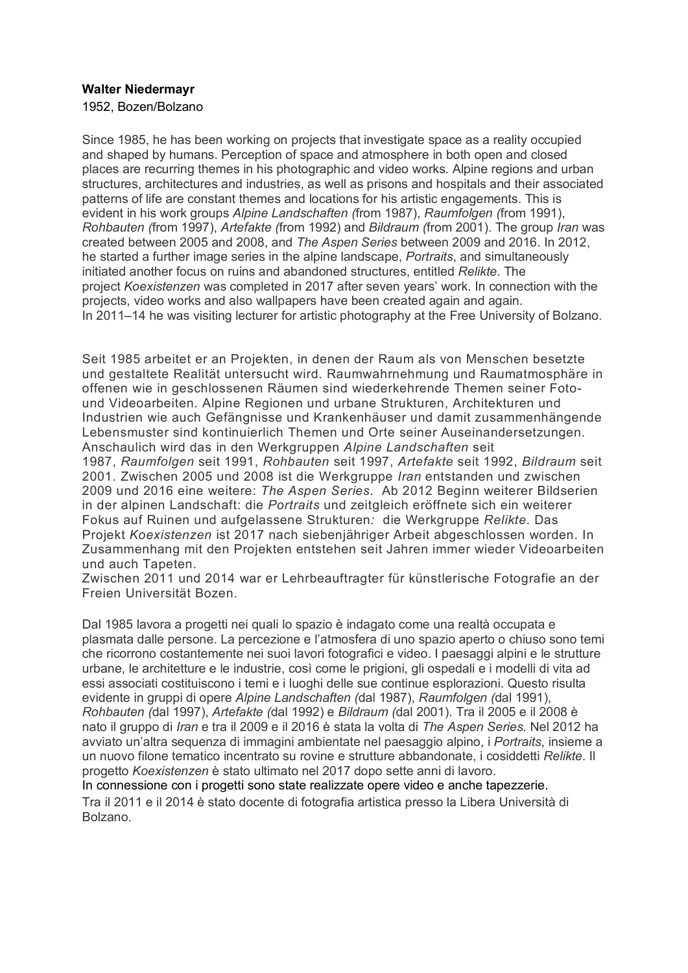### **Walter Niedermayr**

1952, Bozen/Bolzano

Since 1985, he has been working on projects that investigate space as a reality occupied and shaped by humans. Perception of space and atmosphere in both open and closed places are recurring themes in his photographic and video works. Alpine regions and urban structures, architectures and industries, as well as prisons and hospitals and their associated patterns of life are constant themes and locations for his artistic engagements. This is evident in his work groups *Alpine Landschaften (*from 1987), *Raumfolgen (*from 1991), *Rohbauten (*from 1997), *Artefakte (*from 1992) and *Bildraum (*from 2001). The group *Iran* was created between 2005 and 2008, and *The Aspen Series* between 2009 and 2016. In 2012, he started a further image series in the alpine landscape, *Portraits*, and simultaneously initiated another focus on ruins and abandoned structures, entitled *Relikte*. The project *Koexistenzen* was completed in 2017 after seven years' work. In connection with the projects, video works and also wallpapers have been created again and again. In 2011–14 he was visiting lecturer for artistic photography at the Free University of Bolzano.

Seit 1985 arbeitet er an Projekten, in denen der Raum als von Menschen besetzte und gestaltete Realität untersucht wird. Raumwahrnehmung und Raumatmosphäre in offenen wie in geschlossenen Räumen sind wiederkehrende Themen seiner Fotound Videoarbeiten. Alpine Regionen und urbane Strukturen, Architekturen und Industrien wie auch Gefängnisse und Krankenhäuser und damit zusammenhängende Lebensmuster sind kontinuierlich Themen und Orte seiner Auseinandersetzungen. Anschaulich wird das in den Werkgruppen *Alpine Landschaften* seit

1987, *Raumfolgen* seit 1991, *Rohbauten* seit 1997, *Artefakte* seit 1992, *Bildraum* seit 2001. Zwischen 2005 und 2008 ist die Werkgruppe *Iran* entstanden und zwischen 2009 und 2016 eine weitere: *The Aspen Series*. Ab 2012 Beginn weiterer Bildserien in der alpinen Landschaft: die *Portraits* und zeitgleich eröffnete sich ein weiterer Fokus auf Ruinen und aufgelassene Strukturen*:* die Werkgruppe *Relikte*. Das Projekt *Koexistenzen* ist 2017 nach siebenjähriger Arbeit abgeschlossen worden. In Zusammenhang mit den Projekten entstehen seit Jahren immer wieder Videoarbeiten und auch Tapeten.

Zwischen 2011 und 2014 war er Lehrbeauftragter für künstlerische Fotografie an der Freien Universität Bozen.

Dal 1985 lavora a progetti nei quali lo spazio è indagato come una realtà occupata e plasmata dalle persone. La percezione e l'atmosfera di uno spazio aperto o chiuso sono temi che ricorrono costantemente nei suoi lavori fotografici e video. I paesaggi alpini e le strutture urbane, le architetture e le industrie, così come le prigioni, gli ospedali e i modelli di vita ad essi associati costituiscono i temi e i luoghi delle sue continue esplorazioni. Questo risulta evidente in gruppi di opere *Alpine Landschaften (*dal 1987), *Raumfolgen (*dal 1991), *Rohbauten (*dal 1997), *Artefakte (*dal 1992) e *Bildraum (*dal 2001). Tra il 2005 e il 2008 è nato il gruppo di *Iran* e tra il 2009 e il 2016 è stata la volta di *The Aspen Series*. Nel 2012 ha avviato un'altra sequenza di immagini ambientate nel paesaggio alpino, i *Portraits*, insieme a un nuovo filone tematico incentrato su rovine e strutture abbandonate, i cosiddetti *Relikte*. Il progetto *Koexistenzen* è stato ultimato nel 2017 dopo sette anni di lavoro.

In connessione con i progetti sono state realizzate opere video e anche tapezzerie. Tra il 2011 e il 2014 è stato docente di fotografia artistica presso la Libera Università di Bolzano.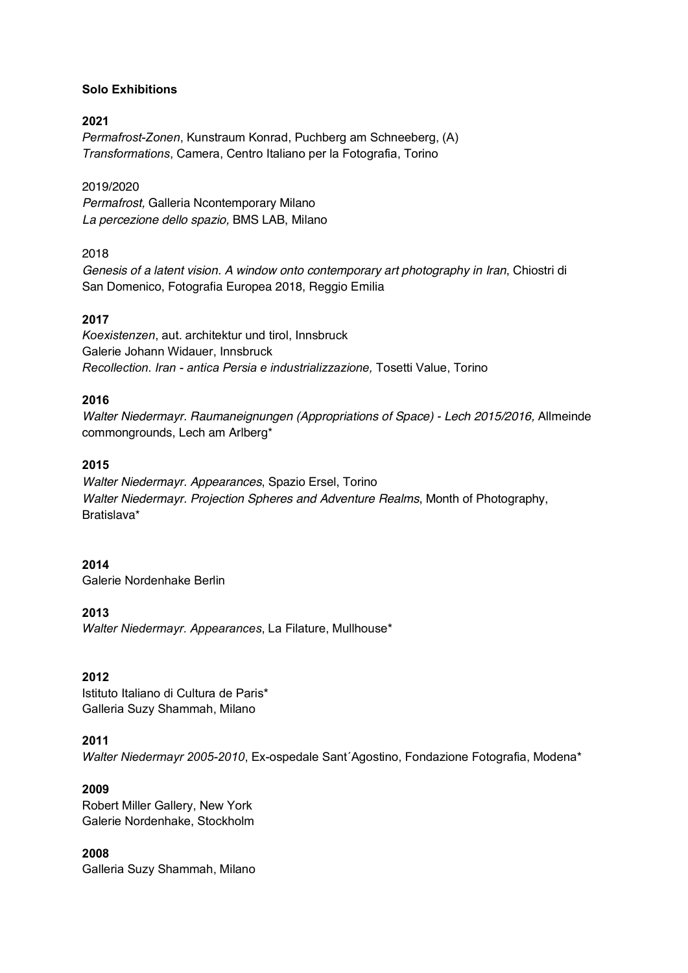### **Solo Exhibitions**

### **2021**

*Permafrost-Zonen*, Kunstraum Konrad, Puchberg am Schneeberg, (A) *Transformations*, Camera, Centro Italiano per la Fotografia, Torino

#### 2019/2020

*Permafrost,* Galleria Ncontemporary Milano *La percezione dello spazio,* BMS LAB, Milano

### 2018

*Genesis of a latent vision. A window onto contemporary art photography in Iran*, Chiostri di San Domenico, Fotografia Europea 2018, Reggio Emilia

### **2017**

*Koexistenzen*, aut. architektur und tirol, Innsbruck Galerie Johann Widauer, Innsbruck *Recollection. Iran - antica Persia e industrializzazione,* Tosetti Value, Torino

### **2016**

*Walter Niedermayr. Raumaneignungen (Appropriations of Space) - Lech 2015/2016,* Allmeinde commongrounds, Lech am Arlberg\*

### **2015**

*Walter Niedermayr. Appearances*, Spazio Ersel, Torino *Walter Niedermayr. Projection Spheres and Adventure Realms*, Month of Photography, Bratislava\*

#### **2014**

Galerie Nordenhake Berlin

### **2013**

*Walter Niedermayr. Appearances*, La Filature, Mullhouse\*

### **2012**

Istituto Italiano di Cultura de Paris\* Galleria Suzy Shammah, Milano

### **2011**

*Walter Niedermayr 2005-2010*, Ex-ospedale Sant´Agostino, Fondazione Fotografia, Modena\*

#### **2009**

Robert Miller Gallery, New York Galerie Nordenhake, Stockholm

# **2008**

Galleria Suzy Shammah, Milano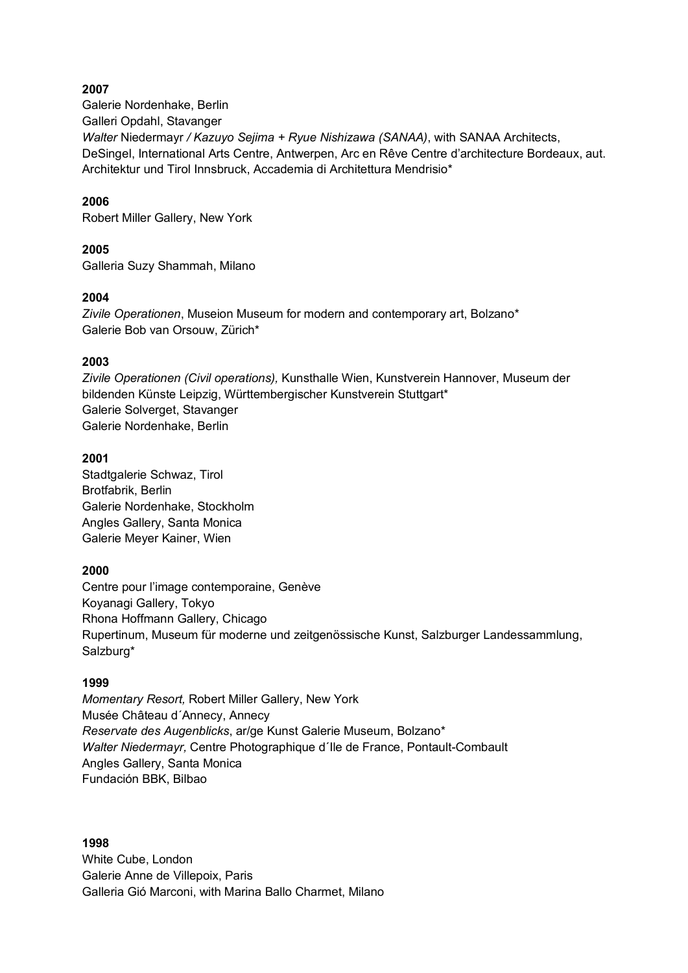### **2007**

Galerie Nordenhake, Berlin Galleri Opdahl, Stavanger *Walter* Niedermayr */ Kazuyo Sejima + Ryue Nishizawa (SANAA)*, with SANAA Architects, DeSingel, International Arts Centre, Antwerpen, Arc en Rêve Centre d'architecture Bordeaux, aut. Architektur und Tirol Innsbruck, Accademia di Architettura Mendrisio\*

### **2006**

Robert Miller Gallery, New York

### **2005**

Galleria Suzy Shammah, Milano

### **2004**

*Zivile Operationen*, Museion Museum for modern and contemporary art, Bolzano\* Galerie Bob van Orsouw, Zürich\*

### **2003**

*Zivile Operationen (Civil operations),* Kunsthalle Wien, Kunstverein Hannover, Museum der bildenden Künste Leipzig, Württembergischer Kunstverein Stuttgart\* Galerie Solverget, Stavanger Galerie Nordenhake, Berlin

### **2001**

Stadtgalerie Schwaz, Tirol Brotfabrik, Berlin Galerie Nordenhake, Stockholm Angles Gallery, Santa Monica Galerie Meyer Kainer, Wien

#### **2000**

Centre pour l'image contemporaine, Genève Koyanagi Gallery, Tokyo Rhona Hoffmann Gallery, Chicago Rupertinum, Museum für moderne und zeitgenössische Kunst, Salzburger Landessammlung, Salzburg\*

#### **1999**

*Momentary Resort,* Robert Miller Gallery, New York Musée Château d´Annecy, Annecy *Reservate des Augenblicks*, ar/ge Kunst Galerie Museum, Bolzano\* *Walter Niedermayr,* Centre Photographique d´Ile de France, Pontault-Combault Angles Gallery, Santa Monica Fundación BBK, Bilbao

**1998** White Cube, London Galerie Anne de Villepoix, Paris Galleria Gió Marconi, with Marina Ballo Charmet, Milano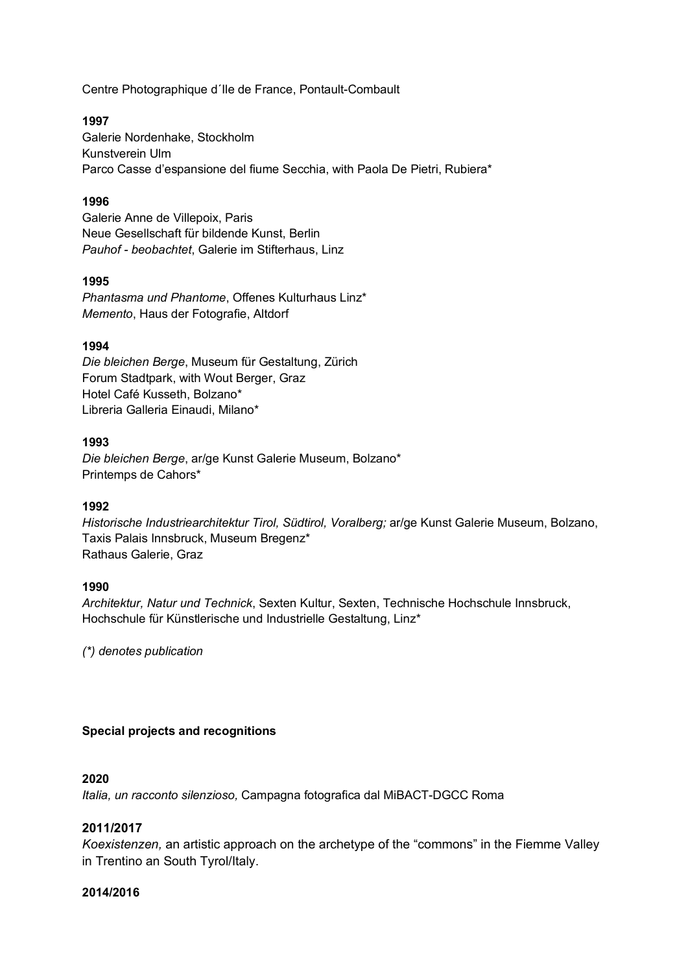Centre Photographique d´Ile de France, Pontault-Combault

### **1997**

Galerie Nordenhake, Stockholm Kunstverein Ulm Parco Casse d'espansione del fiume Secchia, with Paola De Pietri, Rubiera\*

### **1996**

Galerie Anne de Villepoix, Paris Neue Gesellschaft für bildende Kunst, Berlin *Pauhof - beobachtet*, Galerie im Stifterhaus, Linz

### **1995**

*Phantasma und Phantome*, Offenes Kulturhaus Linz\* *Memento*, Haus der Fotografie, Altdorf

### **1994**

*Die bleichen Berge*, Museum für Gestaltung, Zürich Forum Stadtpark, with Wout Berger, Graz Hotel Café Kusseth, Bolzano\* Libreria Galleria Einaudi, Milano\*

### **1993**

*Die bleichen Berge*, ar/ge Kunst Galerie Museum, Bolzano\* Printemps de Cahors\*

### **1992**

*Historische Industriearchitektur Tirol, Südtirol, Voralberg;* ar/ge Kunst Galerie Museum, Bolzano, Taxis Palais Innsbruck, Museum Bregenz\* Rathaus Galerie, Graz

### **1990**

*Architektur, Natur und Technick*, Sexten Kultur, Sexten, Technische Hochschule Innsbruck, Hochschule für Künstlerische und Industrielle Gestaltung, Linz\*

*(\*) denotes publication*

### **Special projects and recognitions**

#### **2020**

*Italia, un racconto silenzioso,* Campagna fotografica dal MiBACT-DGCC Roma

### **2011/2017**

*Koexistenzen,* an artistic approach on the archetype of the "commons" in the Fiemme Valley in Trentino an South Tyrol/Italy.

#### **2014/2016**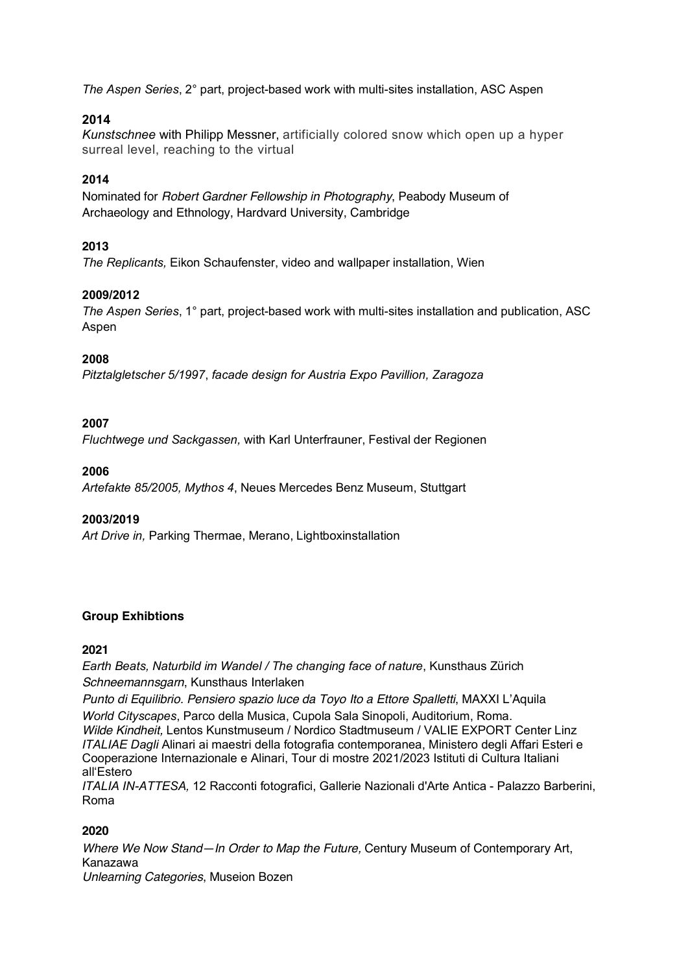*The Aspen Series*, 2° part, project-based work with multi-sites installation, ASC Aspen

### **2014**

*Kunstschnee* with Philipp Messner, artificially colored snow which open up a hyper surreal level, reaching to the virtual

### **2014**

Nominated for *Robert Gardner Fellowship in Photography*, Peabody Museum of Archaeology and Ethnology, Hardvard University, Cambridge

### **2013**

*The Replicants,* Eikon Schaufenster, video and wallpaper installation, Wien

### **2009/2012**

*The Aspen Series*, 1° part, project-based work with multi-sites installation and publication, ASC Aspen

### **2008**

*Pitztalgletscher 5/1997*, *facade design for Austria Expo Pavillion, Zaragoza*

### **2007**

*Fluchtwege und Sackgassen,* with Karl Unterfrauner, Festival der Regionen

### **2006**

*Artefakte 85/2005, Mythos 4*, Neues Mercedes Benz Museum, Stuttgart

#### **2003/2019**

*Art Drive in,* Parking Thermae, Merano, Lightboxinstallation

### **Group Exhibtions**

### **2021**

*Earth Beats, Naturbild im Wandel / The changing face of nature*, Kunsthaus Zürich *Schneemannsgarn*, Kunsthaus Interlaken

*Punto di Equilibrio. Pensiero spazio luce da Toyo Ito a Ettore Spalletti*, MAXXI L'Aquila *World Cityscapes*, Parco della Musica, Cupola Sala Sinopoli, Auditorium, Roma.

*Wilde Kindheit,* Lentos Kunstmuseum / Nordico Stadtmuseum / VALIE EXPORT Center Linz *ITALIAE Dagli* Alinari ai maestri della fotografia contemporanea, Ministero degli Affari Esteri e Cooperazione Internazionale e Alinari, Tour di mostre 2021/2023 Istituti di Cultura Italiani all'Estero

*ITALIA IN-ATTESA,* 12 Racconti fotografici, Gallerie Nazionali d'Arte Antica - Palazzo Barberini, Roma

### **2020**

*Where We Now Stand—In Order to Map the Future,* Century Museum of Contemporary Art, Kanazawa *Unlearning Categories*, Museion Bozen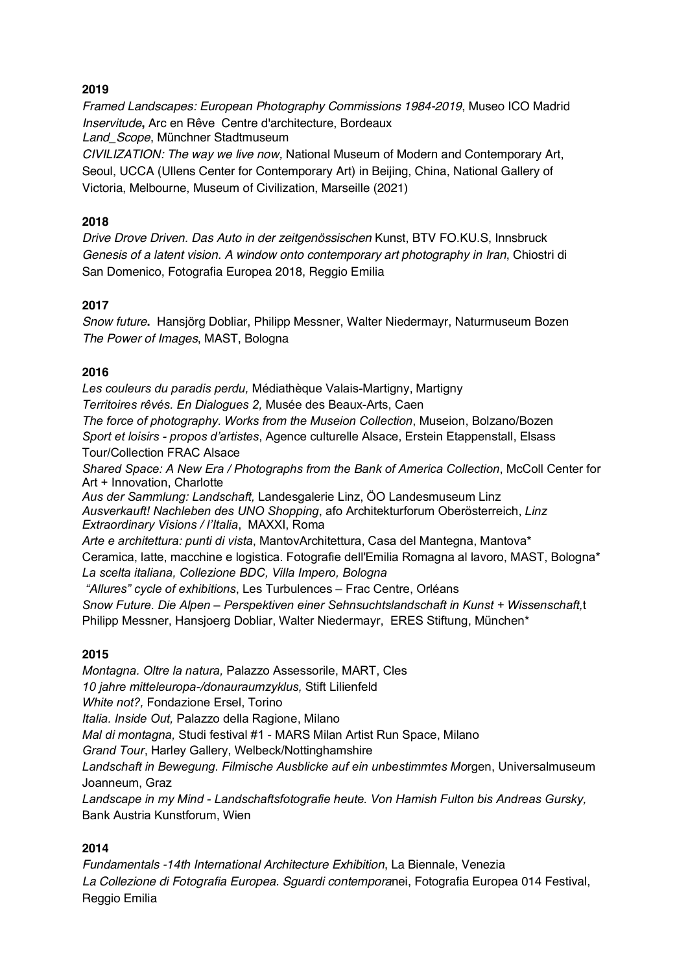### **2019**

*Framed Landscapes: European Photography Commissions 1984-2019*, Museo ICO Madrid *Inservitude***,** Arc en Rêve Centre d'architecture, Bordeaux *Land\_Scope*, Münchner Stadtmuseum *CIVILIZATION: The way we live now,* National Museum of Modern and Contemporary Art, Seoul, UCCA (Ullens Center for Contemporary Art) in Beijing, China, National Gallery of

Victoria, Melbourne, Museum of Civilization, Marseille (2021)

### **2018**

*Drive Drove Driven. Das Auto in der zeitgenössischen* Kunst, BTV FO.KU.S, Innsbruck *Genesis of a latent vision. A window onto contemporary art photography in Iran*, Chiostri di San Domenico, Fotografia Europea 2018, Reggio Emilia

### **2017**

*Snow future***.** Hansjörg Dobliar, Philipp Messner, Walter Niedermayr, Naturmuseum Bozen *The Power of Images*, MAST, Bologna

### **2016**

*Les couleurs du paradis perdu,* Médiathèque Valais-Martigny, Martigny *Territoires rêvés. En Dialogues 2,* Musée des Beaux-Arts, Caen *The force of photography. Works from the Museion Collection*, Museion, Bolzano/Bozen *Sport et loisirs - propos d'artistes*, Agence culturelle Alsace, Erstein Etappenstall, Elsass Tour/Collection FRAC Alsace *Shared Space: A New Era / Photographs from the Bank of America Collection*, McColl Center for Art + Innovation, Charlotte *Aus der Sammlung: Landschaft,* Landesgalerie Linz, ÖO Landesmuseum Linz *Ausverkauft! Nachleben des UNO Shopping*, afo Architekturforum Oberösterreich, *Linz Extraordinary Visions / l'Italia*, MAXXI, Roma *Arte e architettura: punti di vista*, MantovArchitettura, Casa del Mantegna, Mantova\* Ceramica, latte, macchine e logistica. Fotografie dell'Emilia Romagna al lavoro, MAST, Bologna\* *La scelta italiana, Collezione BDC, Villa Impero, Bologna "Allures" cycle of exhibitions*, Les Turbulences – Frac Centre, Orléans *Snow Future. Die Alpen – Perspektiven einer Sehnsuchtslandschaft in Kunst + Wissenschaft,*t

# **2015**

*Montagna. Oltre la natura,* Palazzo Assessorile, MART, Cles *10 jahre mitteleuropa-/donauraumzyklus,* Stift Lilienfeld *White not?,* Fondazione Ersel, Torino *Italia. Inside Out,* Palazzo della Ragione, Milano *Mal di montagna,* Studi festival #1 - MARS Milan Artist Run Space, Milano *Grand Tour*, Harley Gallery, Welbeck/Nottinghamshire *Landschaft in Bewegung. Filmische Ausblicke auf ein unbestimmtes Mo*rgen, Universalmuseum Joanneum, Graz *Landscape in my Mind - Landschaftsfotografie heute. Von Hamish Fulton bis Andreas Gursky,*  Bank Austria Kunstforum, Wien

Philipp Messner, Hansjoerg Dobliar, Walter Niedermayr, ERES Stiftung, München\*

### **2014**

*Fundamentals -14th International Architecture Exhibition*, La Biennale, Venezia *La Collezione di Fotografia Europea. Sguardi contempora*nei, Fotografia Europea 014 Festival, Reggio Emilia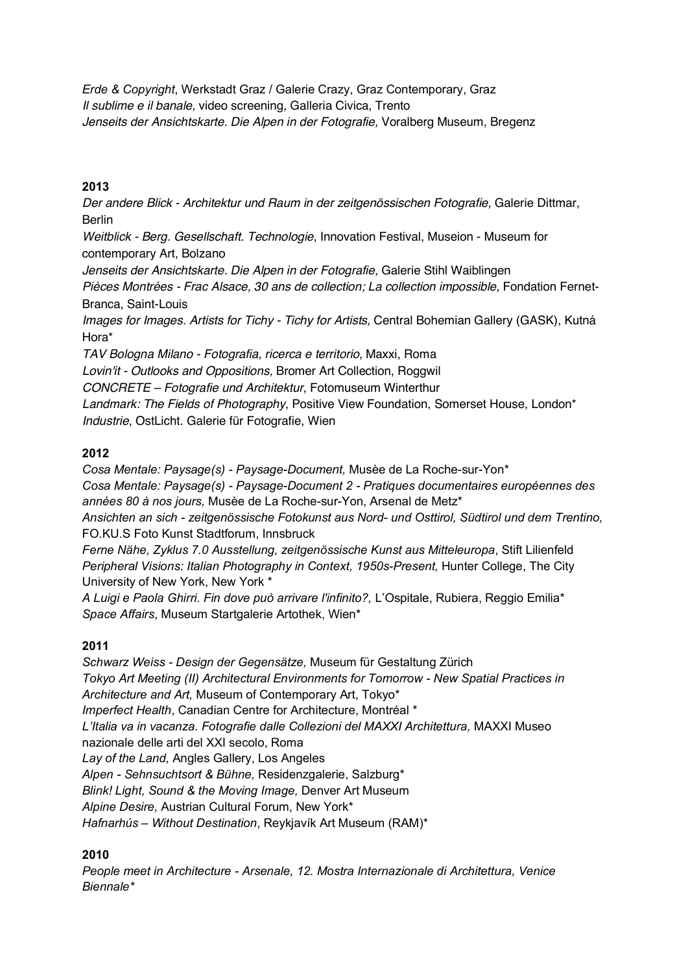*Erde & Copyright*, Werkstadt Graz / Galerie Crazy, Graz Contemporary, Graz *Il sublime e il banale*, video screening, Galleria Civica, Trento *Jenseits der Ansichtskarte. Die Alpen in der Fotografie,* Voralberg Museum, Bregenz

### **2013**

*Der andere Blick - Architektur und Raum in der zeitgenössischen Fotografie,* Galerie Dittmar, Berlin

*Weitblick - Berg. Gesellschaft. Technologie*, Innovation Festival, Museion - Museum for contemporary Art, Bolzano

*Jenseits der Ansichtskarte. Die Alpen in der Fotografie*, Galerie Stihl Waiblingen

*Pièces Montrées - Frac Alsace, 30 ans de collection; La collection impossible,* Fondation Fernet-Branca, Saint-Louis

*Images for Images. Artists for Tichy - Tichy for Artists,* Central Bohemian Gallery (GASK), Kutná Hora\*

*TAV Bologna Milano - Fotografia, ricerca e territorio,* Maxxi, Roma *Lovin'it - Outlooks and Oppositions,* Bromer Art Collection, Roggwil

*CONCRETE – Fotografie und Architektur*, Fotomuseum Winterthur

*Landmark: The Fields of Photography*, Positive View Foundation, Somerset House, London\* *Industrie*, OstLicht. Galerie für Fotografie, Wien

### **2012**

*Cosa Mentale: Paysage(s) - Paysage-Document,* Musèe de La Roche-sur-Yon\*

*Cosa Mentale: Paysage(s) - Paysage-Document 2 - Pratiques documentaires européennes des années 80 à nos jours,* Musèe de La Roche-sur-Yon, Arsenal de Metz\*

*Ansichten an sich - zeitgenössische Fotokunst aus Nord- und Osttirol, Südtirol und dem Trentino,* FO.KU.S Foto Kunst Stadtforum, Innsbruck

*Ferne Nähe, Zyklus 7.0 Ausstellung, zeitgenössische Kunst aus Mitteleuropa*, Stift Lilienfeld *Peripheral Visions: Italian Photography in Context, 1950s-Present, Hunter College, The City* University of New York, New York \*

*A Luigi e Paola Ghirri. Fin dove può arrivare l'infinito?,* L'Ospitale, Rubiera, Reggio Emilia\* *Space Affairs*, Museum Startgalerie Artothek, Wien\*

### **2011**

*Schwarz Weiss - Design der Gegensätze,* Museum für Gestaltung Zürich *Tokyo Art Meeting (II) Architectural Environments for Tomorrow - New Spatial Practices in Architecture and Art,* Museum of Contemporary Art, Tokyo\* *Imperfect Health*, Canadian Centre for Architecture, Montréal \* *L'Italia va in vacanza. Fotografie dalle Collezioni del MAXXI Architettura,* MAXXI Museo nazionale delle arti del XXI secolo, Roma *Lay of the Land,* Angles Gallery, Los Angeles *Alpen - Sehnsuchtsort & Bühne,* Residenzgalerie, Salzburg\* *Blink! Light, Sound & the Moving Image,* Denver Art Museum *Alpine Desire,* Austrian Cultural Forum, New York\* *Hafnarhús – Without Destination*, Reykjavík Art Museum (RAM)\*

### **2010**

*People meet in Architecture - Arsenale, 12. Mostra Internazionale di Architettura, Venice Biennale\**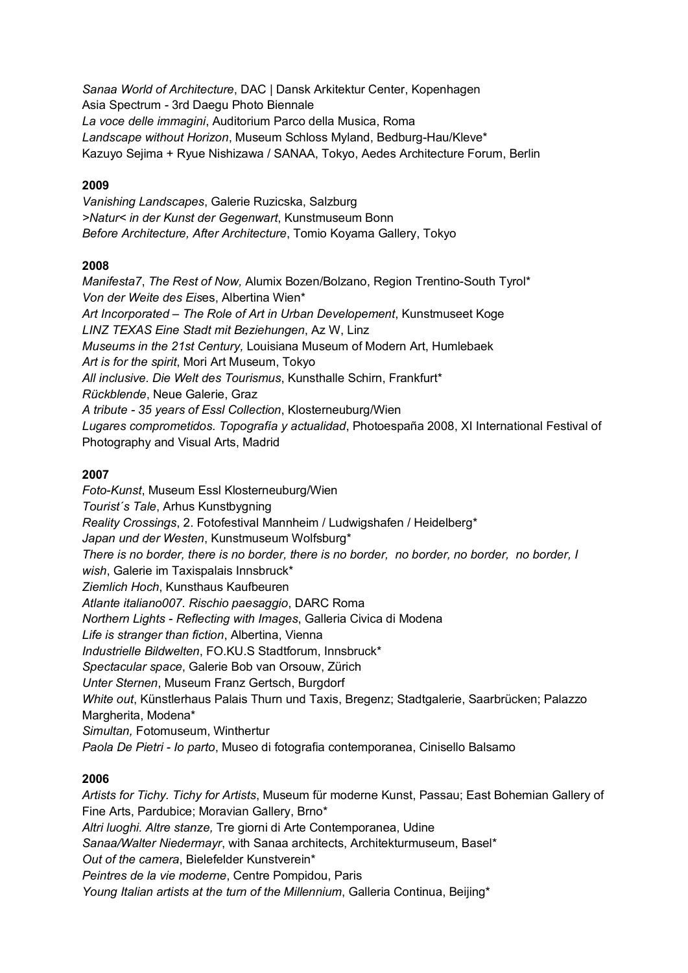*Sanaa World of Architecture*, DAC | Dansk Arkitektur Center, Kopenhagen Asia Spectrum *-* 3rd Daegu Photo Biennale *La voce delle immagini*, Auditorium Parco della Musica, Roma *Landscape without Horizon*, Museum Schloss Myland, Bedburg-Hau/Kleve\* Kazuyo Sejima + Ryue Nishizawa / SANAA, Tokyo, Aedes Architecture Forum, Berlin

### **2009**

*Vanishing Landscapes*, Galerie Ruzicska, Salzburg *>Natur< in der Kunst der Gegenwart*, Kunstmuseum Bonn *Before Architecture, After Architecture*, Tomio Koyama Gallery, Tokyo

### **2008**

*Manifesta7*, *The Rest of Now,* Alumix Bozen/Bolzano, Region Trentino-South Tyrol\* *Von der Weite des Eis*es, Albertina Wien\* *Art Incorporated – The Role of Art in Urban Developement*, Kunstmuseet Koge *LINZ TEXAS Eine Stadt mit Beziehungen*, Az W, Linz *Museums in the 21st Century,* Louisiana Museum of Modern Art, Humlebaek *Art is for the spirit*, Mori Art Museum, Tokyo *All inclusive. Die Welt des Tourismus*, Kunsthalle Schirn, Frankfurt\* *Rückblende*, Neue Galerie, Graz *A tribute - 35 years of Essl Collection*, Klosterneuburg/Wien *Lugares comprometidos. Topografía y actualidad*, Photoespaña 2008, XI International Festival of Photography and Visual Arts, Madrid

### **2007**

*Foto-Kunst*, Museum Essl Klosterneuburg/Wien *Tourist´s Tale*, Arhus Kunstbygning *Reality Crossings*, 2. Fotofestival Mannheim / Ludwigshafen / Heidelberg\* *Japan und der Westen*, Kunstmuseum Wolfsburg\* *There is no border, there is no border, there is no border, no border, no border, no border, I wish*, Galerie im Taxispalais Innsbruck\* *Ziemlich Hoch*, Kunsthaus Kaufbeuren *Atlante italiano007. Rischio paesaggio*, DARC Roma *Northern Lights - Reflecting with Images*, Galleria Civica di Modena *Life is stranger than fiction*, Albertina, Vienna *Industrielle Bildwelten*, FO.KU.S Stadtforum, Innsbruck\* *Spectacular space*, Galerie Bob van Orsouw, Zürich *Unter Sternen*, Museum Franz Gertsch, Burgdorf *White out*, Künstlerhaus Palais Thurn und Taxis, Bregenz; Stadtgalerie, Saarbrücken; Palazzo Margherita, Modena\* *Simultan,* Fotomuseum, Winthertur *Paola De Pietri - Io parto*, Museo di fotografia contemporanea, Cinisello Balsamo

#### **2006**

*Artists for Tichy. Tichy for Artists*, Museum für moderne Kunst, Passau; East Bohemian Gallery of Fine Arts, Pardubice; Moravian Gallery, Brno\* *Altri luoghi. Altre stanze,* Tre giorni di Arte Contemporanea, Udine *Sanaa/Walter Niedermayr*, with Sanaa architects, Architekturmuseum, Basel\* *Out of the camera*, Bielefelder Kunstverein\* *Peintres de la vie moderne*, Centre Pompidou, Paris *Young Italian artists at the turn of the Millennium*, Galleria Continua, Beijing\*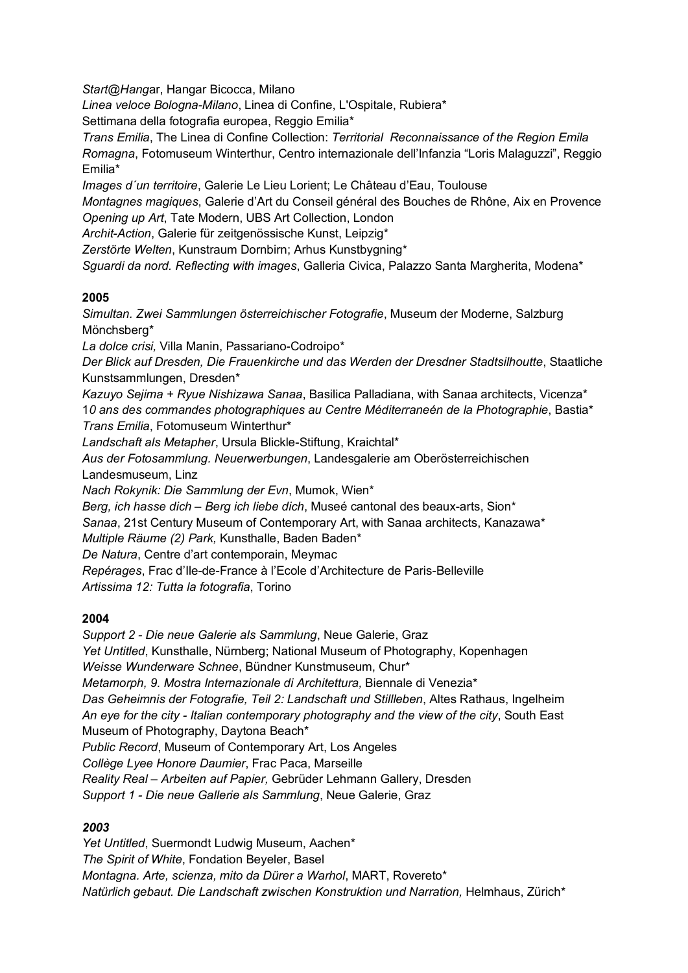*Start@Hang*ar, Hangar Bicocca, Milano

*Linea veloce Bologna-Milano*, Linea di Confine, L'Ospitale, Rubiera\*

Settimana della fotografia europea, Reggio Emilia\*

*Trans Emilia*, The Linea di Confine Collection: *Territorial Reconnaissance of the Region Emila Romagna*, Fotomuseum Winterthur, Centro internazionale dell'Infanzia "Loris Malaguzzi", Reggio Emilia\*

*Images d´un territoire*, Galerie Le Lieu Lorient; Le Château d'Eau, Toulouse

*Montagnes magiques*, Galerie d'Art du Conseil général des Bouches de Rhône, Aix en Provence *Opening up Art*, Tate Modern, UBS Art Collection, London

*Archit-Action*, Galerie für zeitgenössische Kunst, Leipzig\*

*Zerstörte Welten*, Kunstraum Dornbirn; Arhus Kunstbygning\*

*Sguardi da nord. Reflecting with images*, Galleria Civica, Palazzo Santa Margherita, Modena\*

### **2005**

*Simultan. Zwei Sammlungen österreichischer Fotografie*, Museum der Moderne, Salzburg Mönchsberg\*

*La dolce crisi,* Villa Manin, Passariano-Codroipo\*

*Der Blick auf Dresden, Die Frauenkirche und das Werden der Dresdner Stadtsilhoutte*, Staatliche Kunstsammlungen, Dresden\*

*Kazuyo Sejima + Ryue Nishizawa Sanaa*, Basilica Palladiana, with Sanaa architects, Vicenza\* 1*0 ans des commandes photographiques au Centre Méditerraneén de la Photographie*, Bastia\* *Trans Emilia*, Fotomuseum Winterthur\*

*Landschaft als Metapher*, Ursula Blickle-Stiftung, Kraichtal\*

*Aus der Fotosammlung. Neuerwerbungen*, Landesgalerie am Oberösterreichischen

Landesmuseum, Linz

*Nach Rokynik: Die Sammlung der Evn*, Mumok, Wien\*

*Berg, ich hasse dich – Berg ich liebe dich*, Museé cantonal des beaux-arts, Sion\*

*Sanaa*, 21st Century Museum of Contemporary Art, with Sanaa architects, Kanazawa\*

*Multiple Räume (2) Park,* Kunsthalle, Baden Baden\*

*De Natura*, Centre d'art contemporain, Meymac

*Repérages*, Frac d'Ile-de-France à l'Ecole d'Architecture de Paris-Belleville *Artissima 12: Tutta la fotografia*, Torino

### **2004**

*Support 2 - Die neue Galerie als Sammlung*, Neue Galerie, Graz *Yet Untitled*, Kunsthalle, Nürnberg; National Museum of Photography, Kopenhagen *Weisse Wunderware Schnee*, Bündner Kunstmuseum, Chur\* *Metamorph, 9. Mostra Internazionale di Architettura,* Biennale di Venezia\* *Das Geheimnis der Fotografie, Teil 2: Landschaft und Stillleben*, Altes Rathaus, Ingelheim *An eye for the city - Italian contemporary photography and the view of the city*, South East Museum of Photography, Daytona Beach\* *Public Record*, Museum of Contemporary Art, Los Angeles *Collège Lyee Honore Daumier*, Frac Paca, Marseille *Reality Real – Arbeiten auf Papier,* Gebrüder Lehmann Gallery, Dresden *Support 1 - Die neue Gallerie als Sammlung*, Neue Galerie, Graz

### *2003*

*Yet Untitled*, Suermondt Ludwig Museum, Aachen\* *The Spirit of White*, Fondation Beyeler, Basel *Montagna. Arte, scienza, mito da Dürer a Warhol*, MART, Rovereto\* *Natürlich gebaut. Die Landschaft zwischen Konstruktion und Narration,* Helmhaus, Zürich\*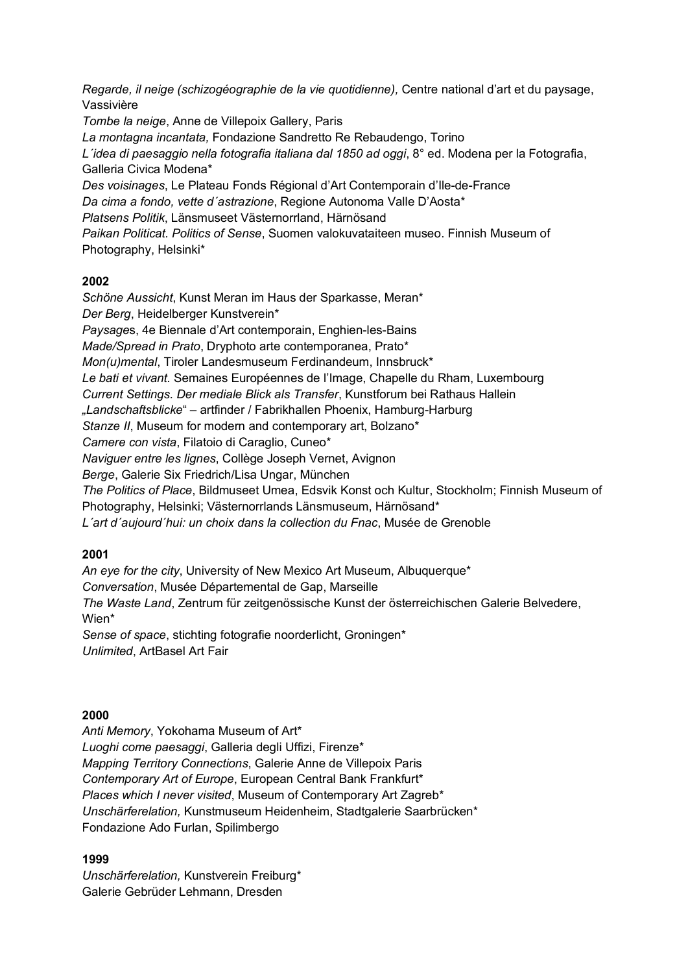*Regarde, il neige (schizogéographie de la vie quotidienne),* Centre national d'art et du paysage, Vassivière *Tombe la neige*, Anne de Villepoix Gallery, Paris *La montagna incantata,* Fondazione Sandretto Re Rebaudengo, Torino *L´idea di paesaggio nella fotografia italiana dal 1850 ad oggi*, 8° ed. Modena per la Fotografia, Galleria Civica Modena\* *Des voisinages*, Le Plateau Fonds Régional d'Art Contemporain d'Ile-de-France *Da cima a fondo, vette d´astrazione*, Regione Autonoma Valle D'Aosta\* *Platsens Politik*, Länsmuseet Västernorrland, Härnösand *Paikan Politicat. Politics of Sense*, Suomen valokuvataiteen museo. Finnish Museum of Photography, Helsinki\*

### **2002**

*Schöne Aussicht*, Kunst Meran im Haus der Sparkasse, Meran\* *Der Berg*, Heidelberger Kunstverein\* *Paysage*s, 4e Biennale d'Art contemporain, Enghien-les-Bains *Made/Spread in Prato*, Dryphoto arte contemporanea, Prato\* *Mon(u)mental*, Tiroler Landesmuseum Ferdinandeum, Innsbruck\* *Le bati et vivant.* Semaines Européennes de l'Image, Chapelle du Rham, Luxembourg *Current Settings. Der mediale Blick als Transfer*, Kunstforum bei Rathaus Hallein *"Landschaftsblicke*" – artfinder / Fabrikhallen Phoenix, Hamburg-Harburg *Stanze II*, Museum for modern and contemporary art, Bolzano\* *Camere con vista*, Filatoio di Caraglio, Cuneo\* *Naviguer entre les lignes*, Collège Joseph Vernet, Avignon *Berge*, Galerie Six Friedrich/Lisa Ungar, München *The Politics of Place*, Bildmuseet Umea, Edsvik Konst och Kultur, Stockholm; Finnish Museum of Photography, Helsinki; Västernorrlands Länsmuseum, Härnösand\* *L´art d´aujourd´hui: un choix dans la collection du Fnac*, Musée de Grenoble

### **2001**

*An eye for the city*, University of New Mexico Art Museum, Albuquerque\* *Conversation*, Musée Départemental de Gap, Marseille *The Waste Land*, Zentrum für zeitgenössische Kunst der österreichischen Galerie Belvedere, Wien\* *Sense of space*, stichting fotografie noorderlicht, Groningen\* *Unlimited*, ArtBasel Art Fair

### **2000**

*Anti Memory*, Yokohama Museum of Art\* *Luoghi come paesaggi*, Galleria degli Uffizi, Firenze\* *Mapping Territory Connections*, Galerie Anne de Villepoix Paris *Contemporary Art of Europe*, European Central Bank Frankfurt\* *Places which I never visited*, Museum of Contemporary Art Zagreb\* *Unschärferelation,* Kunstmuseum Heidenheim, Stadtgalerie Saarbrücken\* Fondazione Ado Furlan, Spilimbergo

### **1999**

*Unschärferelation,* Kunstverein Freiburg\* Galerie Gebrüder Lehmann, Dresden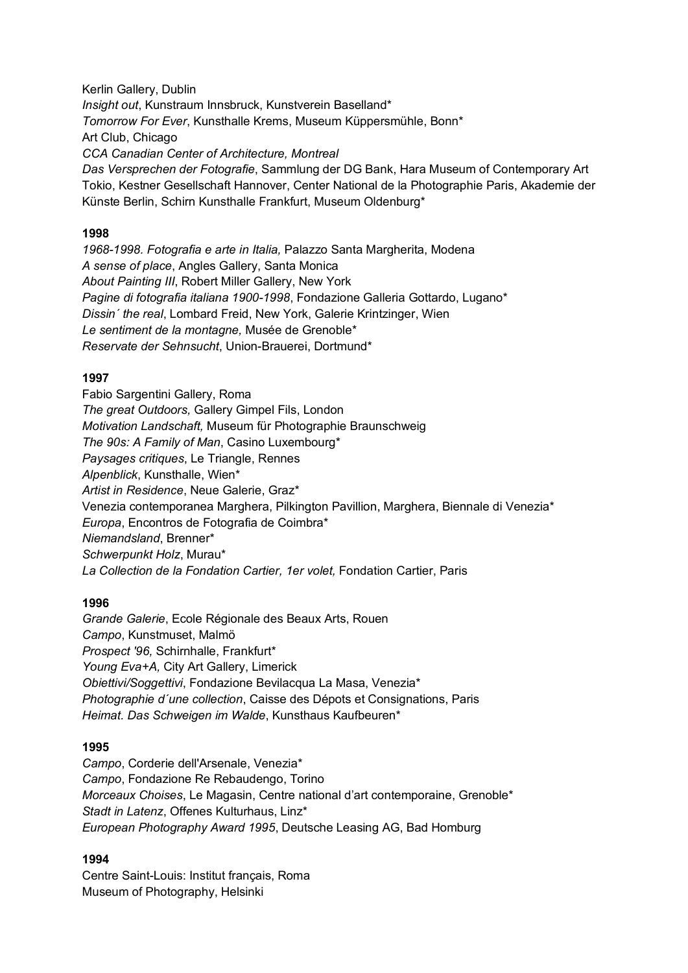Kerlin Gallery, Dublin *Insight out*, Kunstraum Innsbruck, Kunstverein Baselland\* *Tomorrow For Ever*, Kunsthalle Krems, Museum Küppersmühle, Bonn\* Art Club, Chicago *CCA Canadian Center of Architecture, Montreal Das Versprechen der Fotografie*, Sammlung der DG Bank, Hara Museum of Contemporary Art Tokio, Kestner Gesellschaft Hannover, Center National de la Photographie Paris, Akademie der Künste Berlin, Schirn Kunsthalle Frankfurt, Museum Oldenburg\*

### **1998**

*1968-1998. Fotografia e arte in Italia,* Palazzo Santa Margherita, Modena *A sense of place*, Angles Gallery, Santa Monica *About Painting III*, Robert Miller Gallery, New York *Pagine di fotografia italiana 1900-1998*, Fondazione Galleria Gottardo, Lugano\* *Dissin´ the real*, Lombard Freid, New York, Galerie Krintzinger, Wien *Le sentiment de la montagne,* Musée de Grenoble\* *Reservate der Sehnsucht*, Union-Brauerei, Dortmund\*

### **1997**

Fabio Sargentini Gallery, Roma *The great Outdoors,* Gallery Gimpel Fils, London *Motivation Landschaft,* Museum für Photographie Braunschweig *The 90s: A Family of Man*, Casino Luxembourg\* *Paysages critiques*, Le Triangle, Rennes *Alpenblick*, Kunsthalle, Wien\* *Artist in Residence*, Neue Galerie, Graz\* Venezia contemporanea Marghera, Pilkington Pavillion, Marghera, Biennale di Venezia\* *Europa*, Encontros de Fotografia de Coimbra\* *Niemandsland*, Brenner\* *Schwerpunkt Holz*, Murau\* *La Collection de la Fondation Cartier, 1er volet,* Fondation Cartier, Paris

### **1996**

*Grande Galerie*, Ecole Régionale des Beaux Arts, Rouen *Campo*, Kunstmuset, Malmö *Prospect '96,* Schirnhalle, Frankfurt\* *Young Eva+A,* City Art Gallery, Limerick *Obiettivi/Soggettivi*, Fondazione Bevilacqua La Masa, Venezia\* *Photographie d´une collection*, Caisse des Dépots et Consignations, Paris *Heimat. Das Schweigen im Walde*, Kunsthaus Kaufbeuren\*

#### **1995**

*Campo*, Corderie dell'Arsenale, Venezia\* *Campo*, Fondazione Re Rebaudengo, Torino *Morceaux Choises*, Le Magasin, Centre national d'art contemporaine, Grenoble\* *Stadt in Latenz*, Offenes Kulturhaus, Linz\* *European Photography Award 1995*, Deutsche Leasing AG, Bad Homburg

#### **1994**

Centre Saint-Louis: Institut français, Roma Museum of Photography, Helsinki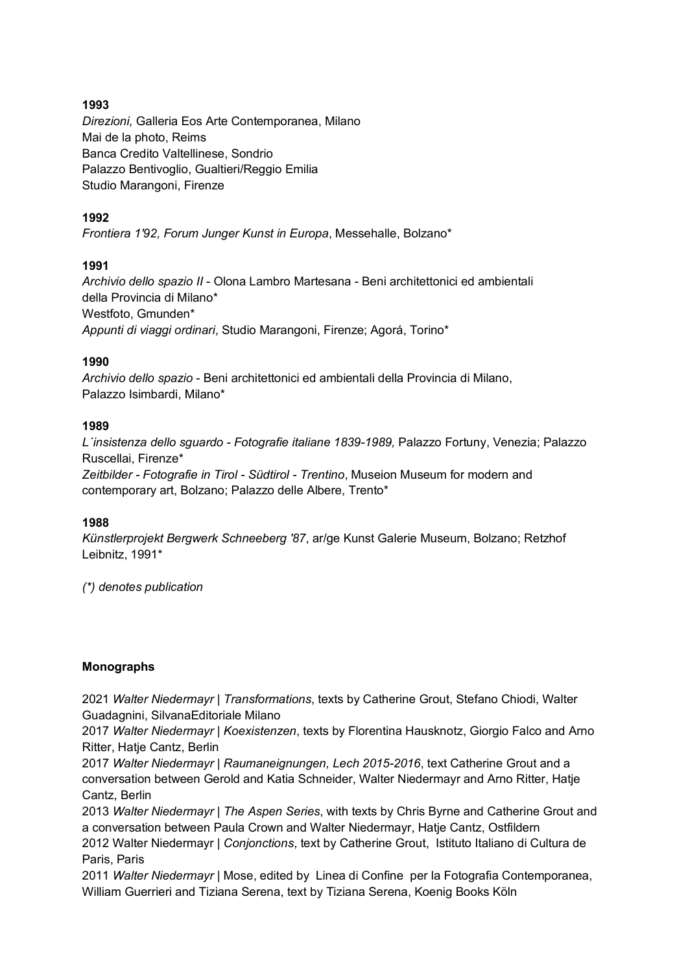### **1993**

*Direzioni,* Galleria Eos Arte Contemporanea, Milano Mai de la photo, Reims Banca Credito Valtellinese, Sondrio Palazzo Bentivoglio, Gualtieri/Reggio Emilia Studio Marangoni, Firenze

### **1992**

*Frontiera 1'92, Forum Junger Kunst in Europa*, Messehalle, Bolzano\*

### **1991**

*Archivio dello spazio II* - Olona Lambro Martesana - Beni architettonici ed ambientali della Provincia di Milano\* Westfoto, Gmunden\* *Appunti di viaggi ordinari*, Studio Marangoni, Firenze; Agorá, Torino\*

### **1990**

*Archivio dello spazio* - Beni architettonici ed ambientali della Provincia di Milano, Palazzo Isimbardi, Milano\*

### **1989**

*L´insistenza dello sguardo - Fotografie italiane 1839-1989,* Palazzo Fortuny, Venezia; Palazzo Ruscellai, Firenze\*

*Zeitbilder - Fotografie in Tirol - Südtirol - Trentino*, Museion Museum for modern and contemporary art, Bolzano; Palazzo delle Albere, Trento\*

### **1988**

*Künstlerprojekt Bergwerk Schneeberg '87*, ar/ge Kunst Galerie Museum, Bolzano; Retzhof Leibnitz, 1991\*

*(\*) denotes publication*

### **Monographs**

2021 *Walter Niedermayr | Transformations*, texts by Catherine Grout, Stefano Chiodi, Walter Guadagnini, SilvanaEditoriale Milano

2017 *Walter Niedermayr | Koexistenzen*, texts by Florentina Hausknotz, Giorgio Falco and Arno Ritter, Hatje Cantz, Berlin

2017 *Walter Niedermayr | Raumaneignungen, Lech 2015-2016*, text Catherine Grout and a conversation between Gerold and Katia Schneider, Walter Niedermayr and Arno Ritter, Hatje Cantz, Berlin

2013 *Walter Niedermayr | The Aspen Series*, with texts by Chris Byrne and Catherine Grout and a conversation between Paula Crown and Walter Niedermayr, Hatje Cantz, Ostfildern 2012 Walter Niedermayr | *Conjonctions*, text by Catherine Grout, Istituto Italiano di Cultura de Paris, Paris

2011 *Walter Niedermayr* | Mose, edited by Linea di Confine per la Fotografia Contemporanea, William Guerrieri and Tiziana Serena, text by Tiziana Serena, Koenig Books Köln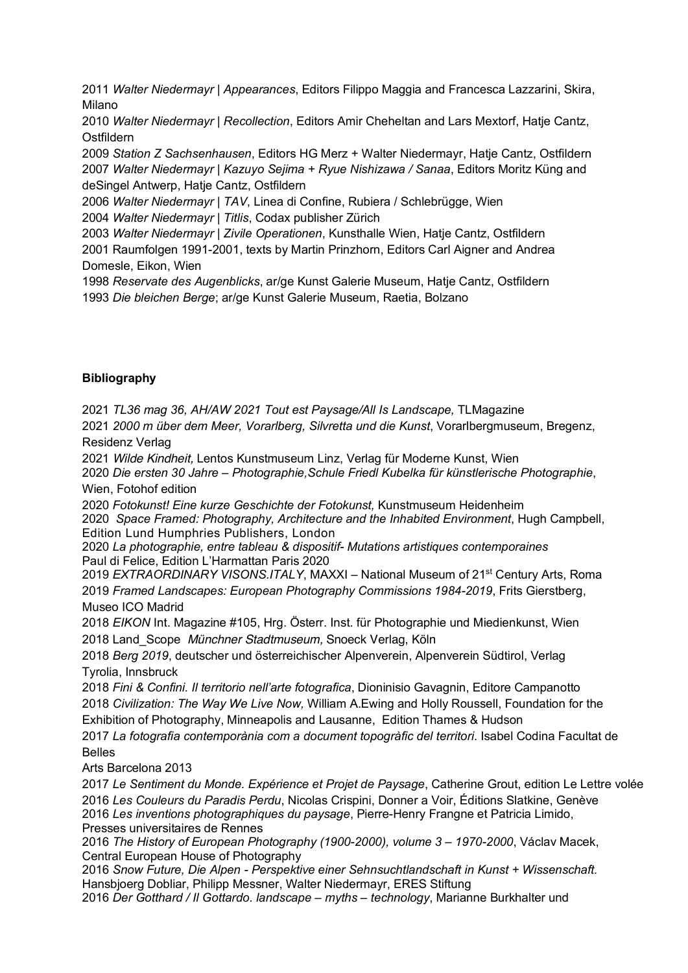2011 *Walter Niedermayr | Appearances*, Editors Filippo Maggia and Francesca Lazzarini, Skira, Milano

2010 *Walter Niedermayr | Recollection*, Editors Amir Cheheltan and Lars Mextorf, Hatje Cantz, Ostfildern

2009 *Station Z Sachsenhausen*, Editors HG Merz + Walter Niedermayr, Hatje Cantz, Ostfildern 2007 *Walter Niedermayr | Kazuyo Sejima + Ryue Nishizawa / Sanaa*, Editors Moritz Küng and deSingel Antwerp, Hatje Cantz, Ostfildern

2006 *Walter Niedermayr | TAV*, Linea di Confine, Rubiera / Schlebrügge, Wien

2004 *Walter Niedermayr | Titlis*, Codax publisher Zürich

2003 *Walter Niedermayr | Zivile Operationen*, Kunsthalle Wien, Hatje Cantz, Ostfildern 2001 Raumfolgen 1991-2001, texts by Martin Prinzhorn, Editors Carl Aigner and Andrea Domesle, Eikon, Wien

1998 *Reservate des Augenblicks*, ar/ge Kunst Galerie Museum, Hatje Cantz, Ostfildern 1993 *Die bleichen Berge*; ar/ge Kunst Galerie Museum, Raetia, Bolzano

### **Bibliography**

2021 *TL36 mag 36, AH/AW 2021 Tout est Paysage/All Is Landscape,* TLMagazine

2021 *2000 m über dem Meer, Vorarlberg, Silvretta und die Kunst*, Vorarlbergmuseum, Bregenz, Residenz Verlag

2021 *Wilde Kindheit,* Lentos Kunstmuseum Linz, Verlag für Moderne Kunst, Wien

2020 *Die ersten 30 Jahre – Photographie,Schule Friedl Kubelka für künstlerische Photographie*, Wien, Fotohof edition

2020 *Fotokunst! Eine kurze Geschichte der Fotokunst,* Kunstmuseum Heidenheim 2020 *Space Framed: Photography, Architecture and the Inhabited Environment*, Hugh Campbell, Edition Lund Humphries Publishers, London

2020 *La photographie, entre tableau & dispositif- Mutations artistiques contemporaines* Paul di Felice, Edition L'Harmattan Paris 2020

2019 *EXTRAORDINARY VISONS.ITALY*, MAXXI - National Museum of 21<sup>st</sup> Century Arts, Roma 2019 *Framed Landscapes: European Photography Commissions 1984-2019*, Frits Gierstberg, Museo ICO Madrid

2018 *EIKON* Int. Magazine #105, Hrg. Österr. Inst. für Photographie und Miedienkunst, Wien 2018 Land\_Scope *Münchner Stadtmuseum,* Snoeck Verlag, Köln

2018 *Berg 2019*, deutscher und österreichischer Alpenverein, Alpenverein Südtirol, Verlag Tyrolia, Innsbruck

2018 *Fini & Confini. Il territorio nell'arte fotografica*, Dioninisio Gavagnin, Editore Campanotto 2018 *Civilization: The Way We Live Now,* William A.Ewing and Holly Roussell, Foundation for the Exhibition of Photography, Minneapolis and Lausanne, Edition Thames & Hudson

2017 *La fotografia contemporània com a document topogràfic del territori*. Isabel Codina Facultat de Belles

Arts Barcelona 2013

*Le Sentiment du Monde. Expérience et Projet de Paysage*, Catherine Grout, edition Le Lettre volée *Les Couleurs du Paradis Perdu*, Nicolas Crispini, Donner a Voir, Éditions Slatkine, Genève *Les inventions photographiques du paysage*, Pierre-Henry Frangne et Patricia Limido, Presses universitaires de Rennes

2016 *The History of European Photography (1900-2000), volume 3 – 1970-2000*, Václav Macek, Central European House of Photography

2016 *Snow Future, Die Alpen - Perspektive einer Sehnsuchtlandschaft in Kunst + Wissenschaft.* Hansbjoerg Dobliar, Philipp Messner, Walter Niedermayr, ERES Stiftung

2016 *Der Gotthard / Il Gottardo. landscape – myths – technology*, Marianne Burkhalter und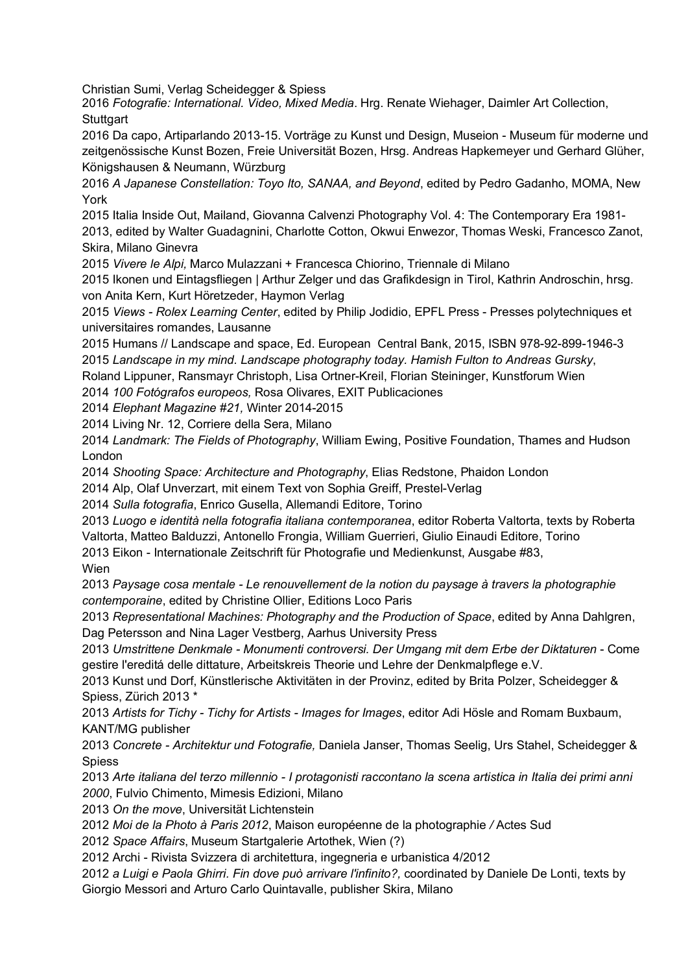Christian Sumi, Verlag Scheidegger & Spiess

2016 *Fotografie: International. Video, Mixed Media*. Hrg. Renate Wiehager, Daimler Art Collection, **Stuttgart** 

2016 Da capo, Artiparlando 2013-15. Vorträge zu Kunst und Design, Museion - Museum für moderne und zeitgenössische Kunst Bozen, Freie Universität Bozen, Hrsg. Andreas Hapkemeyer und Gerhard Glüher, Königshausen & Neumann, Würzburg

2016 *A Japanese Constellation: Toyo Ito, SANAA, and Beyond*, edited by Pedro Gadanho, MOMA, New York

2015 Italia Inside Out, Mailand, Giovanna Calvenzi Photography Vol. 4: The Contemporary Era 1981-

2013, edited by Walter Guadagnini, Charlotte Cotton, Okwui Enwezor, Thomas Weski, Francesco Zanot, Skira, Milano Ginevra

2015 *Vivere le Alpi,* Marco Mulazzani + Francesca Chiorino, Triennale di Milano

2015 Ikonen und Eintagsfliegen | Arthur Zelger und das Grafikdesign in Tirol, Kathrin Androschin, hrsg. von Anita Kern, Kurt Höretzeder, Haymon Verlag

2015 *Views - Rolex Learning Center*, edited by Philip Jodidio, EPFL Press - Presses polytechniques et universitaires romandes, Lausanne

2015 Humans // Landscape and space, Ed. European Central Bank, 2015, ISBN 978-92-899-1946-3 2015 *Landscape in my mind. Landscape photography today. Hamish Fulton to Andreas Gursky*,

Roland Lippuner, Ransmayr Christoph, Lisa Ortner-Kreil, Florian Steininger, Kunstforum Wien

2014 *100 Fotógrafos europeos,* Rosa Olivares, EXIT Publicaciones

2014 *Elephant Magazine #21,* Winter 2014-2015

2014 Living Nr. 12, Corriere della Sera, Milano

2014 *Landmark: The Fields of Photography*, William Ewing, Positive Foundation, Thames and Hudson London

2014 *Shooting Space: Architecture and Photography*, Elias Redstone, Phaidon London

2014 Alp, Olaf Unverzart, mit einem Text von Sophia Greiff, Prestel-Verlag

2014 *Sulla fotografia*, Enrico Gusella, Allemandi Editore, Torino

2013 *Luogo e identità nella fotografia italiana contemporanea*, editor Roberta Valtorta, texts by Roberta Valtorta, Matteo Balduzzi, Antonello Frongia, William Guerrieri, Giulio Einaudi Editore, Torino 2013 Eikon - Internationale Zeitschrift für Photografie und Medienkunst, Ausgabe #83,

Wien

2013 *Paysage cosa mentale - Le renouvellement de la notion du paysage à travers la photographie contemporaine*, edited by Christine Ollier, Editions Loco Paris

2013 *Representational Machines: Photography and the Production of Space*, edited by Anna Dahlgren, Dag Petersson and Nina Lager Vestberg, Aarhus University Press

2013 *Umstrittene Denkmale - Monumenti controversi. Der Umgang mit dem Erbe der Diktaturen* - Come gestire l'ereditá delle dittature, Arbeitskreis Theorie und Lehre der Denkmalpflege e.V.

2013 Kunst und Dorf, Künstlerische Aktivitäten in der Provinz, edited by Brita Polzer, Scheidegger & Spiess, Zürich 2013 \*

2013 *Artists for Tichy - Tichy for Artists - Images for Images*, editor Adi Hösle and Romam Buxbaum, KANT/MG publisher

2013 *Concrete - Architektur und Fotografie,* Daniela Janser, Thomas Seelig, Urs Stahel, Scheidegger & Spiess

2013 *Arte italiana del terzo millennio - I protagonisti raccontano la scena artistica in Italia dei primi anni 2000*, Fulvio Chimento, Mimesis Edizioni, Milano

2013 *On the move*, Universität Lichtenstein

2012 *Moi de la Photo à Paris 2012*, Maison européenne de la photographie */* Actes Sud

2012 *Space Affairs*, Museum Startgalerie Artothek, Wien (?)

2012 Archi - Rivista Svizzera di architettura, ingegneria e urbanistica 4/2012

2012 *a Luigi e Paola Ghirri. Fin dove può arrivare l'infinito?,* coordinated by Daniele De Lonti, texts by Giorgio Messori and Arturo Carlo Quintavalle, publisher Skira, Milano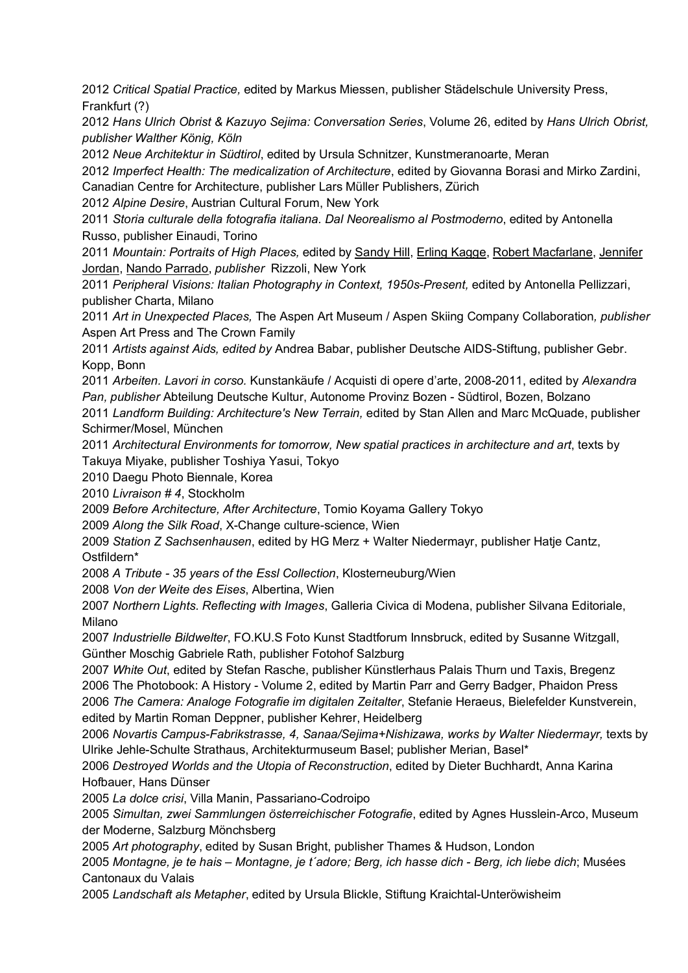2012 *Critical Spatial Practice,* edited by Markus Miessen, publisher Städelschule University Press, Frankfurt (?)

2012 *Hans Ulrich Obrist & Kazuyo Sejima: Conversation Series*, Volume 26, edited by *Hans Ulrich Obrist, publisher Walther König, Köln*

2012 *Neue Architektur in Südtirol*, edited by Ursula Schnitzer, Kunstmeranoarte, Meran

2012 *Imperfect Health: The medicalization of Architecture*, edited by Giovanna Borasi and Mirko Zardini, Canadian Centre for Architecture, publisher Lars Müller Publishers, Zürich

2012 *Alpine Desire*, Austrian Cultural Forum, New York

2011 *Storia culturale della fotografia italiana. Dal Neorealismo al Postmoderno*, edited by Antonella Russo, publisher Einaudi, Torino

2011 *Mountain: Portraits of High Places,* edited by Sandy Hill, Erling Kagge, Robert Macfarlane, Jennifer Jordan, Nando Parrado, *publisher* Rizzoli, New York

2011 *Peripheral Visions: Italian Photography in Context, 1950s-Present,* edited by Antonella Pellizzari, publisher Charta, Milano

2011 *Art in Unexpected Places,* The Aspen Art Museum / Aspen Skiing Company Collaboration*, publisher*  Aspen Art Press and The Crown Family

2011 *Artists against Aids, edited by* Andrea Babar, publisher Deutsche AIDS-Stiftung, publisher Gebr. Kopp, Bonn

2011 *Arbeiten. Lavori in corso.* Kunstankäufe / Acquisti di opere d'arte, 2008-2011, edited by *Alexandra Pan, publisher* Abteilung Deutsche Kultur, Autonome Provinz Bozen - Südtirol, Bozen, Bolzano

2011 *Landform Building: Architecture's New Terrain,* edited by Stan Allen and Marc McQuade, publisher Schirmer/Mosel, München

2011 *Architectural Environments for tomorrow, New spatial practices in architecture and art*, texts by Takuya Miyake, publisher Toshiya Yasui, Tokyo

2010 Daegu Photo Biennale, Korea

2010 *Livraison # 4*, Stockholm

2009 *Before Architecture, After Architecture*, Tomio Koyama Gallery Tokyo

2009 *Along the Silk Road*, X-Change culture-science, Wien

2009 *Station Z Sachsenhausen*, edited by HG Merz + Walter Niedermayr, publisher Hatje Cantz, Ostfildern\*

2008 *A Tribute - 35 years of the Essl Collection*, Klosterneuburg/Wien

2008 *Von der Weite des Eises*, Albertina, Wien

2007 *Northern Lights. Reflecting with Images*, Galleria Civica di Modena, publisher Silvana Editoriale, Milano

2007 *Industrielle Bildwelter*, FO.KU.S Foto Kunst Stadtforum Innsbruck, edited by Susanne Witzgall, Günther Moschig Gabriele Rath, publisher Fotohof Salzburg

2007 *White Out*, edited by Stefan Rasche, publisher Künstlerhaus Palais Thurn und Taxis, Bregenz 2006 The Photobook: A History - Volume 2, edited by Martin Parr and Gerry Badger, Phaidon Press 2006 *The Camera: Analoge Fotografie im digitalen Zeitalter*, Stefanie Heraeus, Bielefelder Kunstverein, edited by Martin Roman Deppner, publisher Kehrer, Heidelberg

2006 *Novartis Campus-Fabrikstrasse, 4, Sanaa/Sejima+Nishizawa, works by Walter Niedermayr,* texts by Ulrike Jehle-Schulte Strathaus, Architekturmuseum Basel; publisher Merian, Basel\*

2006 *Destroyed Worlds and the Utopia of Reconstruction*, edited by Dieter Buchhardt, Anna Karina Hofbauer, Hans Dünser

2005 *La dolce crisi*, Villa Manin, Passariano-Codroipo

2005 *Simultan, zwei Sammlungen österreichischer Fotografie*, edited by Agnes Husslein-Arco, Museum der Moderne, Salzburg Mönchsberg

2005 *Art photography*, edited by Susan Bright, publisher Thames & Hudson, London

2005 *Montagne, je te hais – Montagne, je t´adore; Berg, ich hasse dich - Berg, ich liebe dich*; Musées Cantonaux du Valais

2005 *Landschaft als Metapher*, edited by Ursula Blickle, Stiftung Kraichtal-Unteröwisheim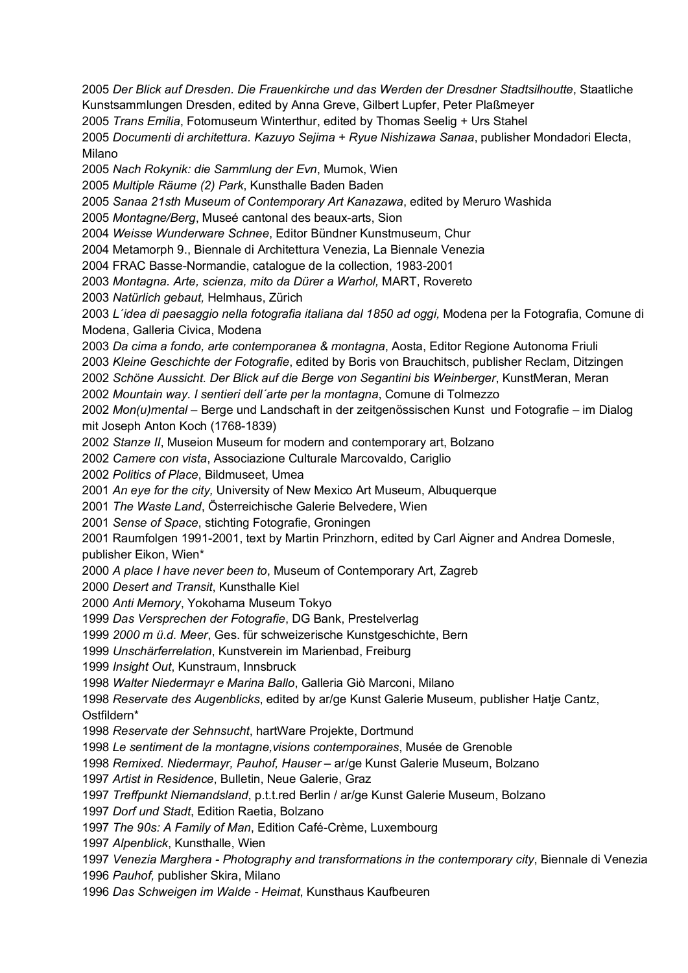*Der Blick auf Dresden. Die Frauenkirche und das Werden der Dresdner Stadtsilhoutte*, Staatliche Kunstsammlungen Dresden, edited by Anna Greve, Gilbert Lupfer, Peter Plaßmeyer *Trans Emilia*, Fotomuseum Winterthur, edited by Thomas Seelig + Urs Stahel *Documenti di architettura. Kazuyo Sejima + Ryue Nishizawa Sanaa*, publisher Mondadori Electa, Milano *Nach Rokynik: die Sammlung der Evn*, Mumok, Wien *Multiple Räume (2) Park*, Kunsthalle Baden Baden *Sanaa 21sth Museum of Contemporary Art Kanazawa*, edited by Meruro Washida *Montagne/Berg*, Museé cantonal des beaux-arts, Sion *Weisse Wunderware Schnee*, Editor Bündner Kunstmuseum, Chur 2004 Metamorph 9., Biennale di Architettura Venezia, La Biennale Venezia 2004 FRAC Basse-Normandie, catalogue de la collection, 1983-2001 *Montagna. Arte, scienza, mito da Dürer a Warhol,* MART, Rovereto *Natürlich gebaut,* Helmhaus, Zürich *L´idea di paesaggio nella fotografia italiana dal 1850 ad oggi,* Modena per la Fotografia, Comune di Modena, Galleria Civica, Modena *Da cima a fondo, arte contemporanea & montagna*, Aosta, Editor Regione Autonoma Friuli *Kleine Geschichte der Fotografie*, edited by Boris von Brauchitsch, publisher Reclam, Ditzingen *Schöne Aussicht. Der Blick auf die Berge von Segantini bis Weinberger*, KunstMeran, Meran *Mountain way. I sentieri dell´arte per la montagna*, Comune di Tolmezzo *Mon(u)mental* – Berge und Landschaft in der zeitgenössischen Kunst und Fotografie – im Dialog mit Joseph Anton Koch (1768-1839) *Stanze II*, Museion Museum for modern and contemporary art, Bolzano *Camere con vista*, Associazione Culturale Marcovaldo, Cariglio *Politics of Place*, Bildmuseet, Umea *An eye for the city,* University of New Mexico Art Museum, Albuquerque *The Waste Land*, Österreichische Galerie Belvedere, Wien *Sense of Space*, stichting Fotografie, Groningen 2001 Raumfolgen 1991-2001, text by Martin Prinzhorn, edited by Carl Aigner and Andrea Domesle, publisher Eikon, Wien\* *A place I have never been to*, Museum of Contemporary Art, Zagreb *Desert and Transit*, Kunsthalle Kiel *Anti Memory*, Yokohama Museum Tokyo *Das Versprechen der Fotografie*, DG Bank, Prestelverlag *2000 m ü.d. Meer*, Ges. für schweizerische Kunstgeschichte, Bern *Unschärferrelation*, Kunstverein im Marienbad, Freiburg *Insight Out*, Kunstraum, Innsbruck *Walter Niedermayr e Marina Ballo*, Galleria Giò Marconi, Milano *Reservate des Augenblicks*, edited by ar/ge Kunst Galerie Museum, publisher Hatje Cantz, Ostfildern\* *Reservate der Sehnsucht*, hartWare Projekte, Dortmund *Le sentiment de la montagne,visions contemporaines*, Musée de Grenoble *Remixed. Niedermayr, Pauhof, Hauser* – ar/ge Kunst Galerie Museum, Bolzano *Artist in Residence*, Bulletin, Neue Galerie, Graz *Treffpunkt Niemandsland*, p.t.t.red Berlin / ar/ge Kunst Galerie Museum, Bolzano *Dorf und Stadt*, Edition Raetia, Bolzano *The 90s: A Family of Man*, Edition Café-Crème, Luxembourg *Alpenblick*, Kunsthalle, Wien *Venezia Marghera - Photography and transformations in the contemporary city*, Biennale di Venezia *Pauhof,* publisher Skira, Milano *Das Schweigen im Walde - Heimat*, Kunsthaus Kaufbeuren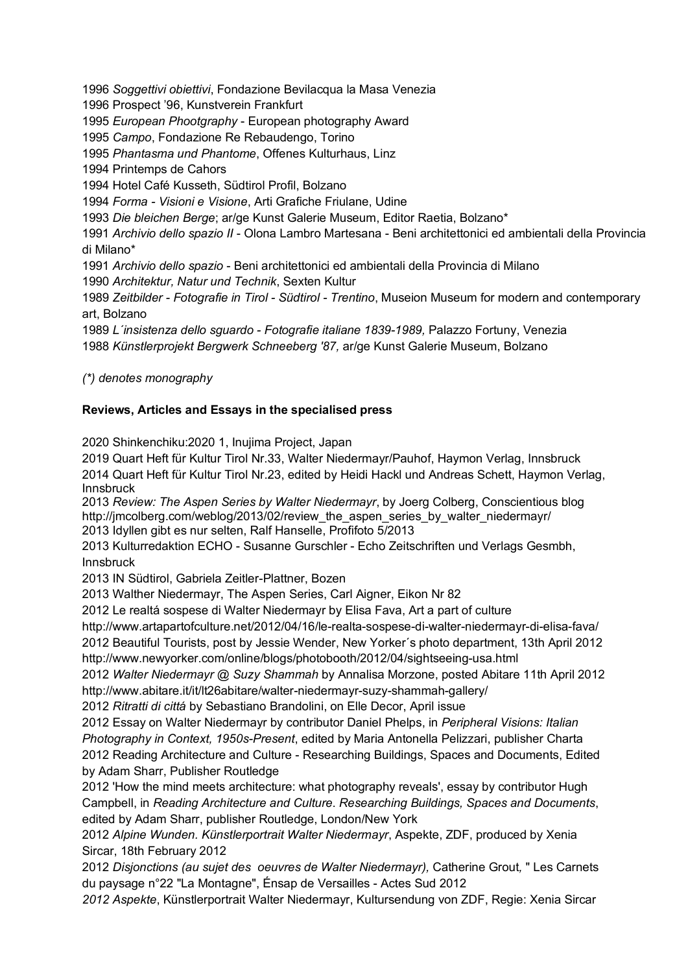1996 *Soggettivi obiettivi*, Fondazione Bevilacqua la Masa Venezia

1996 Prospect '96, Kunstverein Frankfurt

1995 *European Phootgraphy* - European photography Award

1995 *Campo*, Fondazione Re Rebaudengo, Torino

1995 *Phantasma und Phantome*, Offenes Kulturhaus, Linz

1994 Printemps de Cahors

1994 Hotel Café Kusseth, Südtirol Profil, Bolzano

1994 *Forma - Visioni e Visione*, Arti Grafiche Friulane, Udine

1993 *Die bleichen Berge*; ar/ge Kunst Galerie Museum, Editor Raetia, Bolzano\*

1991 *Archivio dello spazio II* - Olona Lambro Martesana - Beni architettonici ed ambientali della Provincia di Milano\*

1991 *Archivio dello spazio* - Beni architettonici ed ambientali della Provincia di Milano

1990 *Architektur, Natur und Technik*, Sexten Kultur

1989 *Zeitbilder - Fotografie in Tirol - Südtirol - Trentino*, Museion Museum for modern and contemporary art, Bolzano

1989 *L´insistenza dello sguardo - Fotografie italiane 1839-1989,* Palazzo Fortuny, Venezia 1988 *Künstlerprojekt Bergwerk Schneeberg '87,* ar/ge Kunst Galerie Museum, Bolzano

*(\*) denotes monography*

### **Reviews, Articles and Essays in the specialised press**

2020 Shinkenchiku:2020 1, Inujima Project, Japan

2019 Quart Heft für Kultur Tirol Nr.33, Walter Niedermayr/Pauhof, Haymon Verlag, Innsbruck 2014 Quart Heft für Kultur Tirol Nr.23, edited by Heidi Hackl und Andreas Schett, Haymon Verlag, Innsbruck

2013 *Review: The Aspen Series by Walter Niedermayr*, by Joerg Colberg, Conscientious blog http://jmcolberg.com/weblog/2013/02/review\_the\_aspen\_series\_by\_walter\_niedermayr/ 2013 Idyllen gibt es nur selten, Ralf Hanselle, Profifoto 5/2013

2013 Kulturredaktion ECHO - Susanne Gurschler - Echo Zeitschriften und Verlags Gesmbh, Innsbruck

2013 IN Südtirol, Gabriela Zeitler-Plattner, Bozen

2013 Walther Niedermayr, The Aspen Series, Carl Aigner, Eikon Nr 82

2012 Le realtá sospese di Walter Niedermayr by Elisa Fava, Art a part of culture

http://www.artapartofculture.net/2012/04/16/le-realta-sospese-di-walter-niedermayr-di-elisa-fava/

2012 Beautiful Tourists, post by Jessie Wender, New Yorker´s photo department, 13th April 2012 http://www.newyorker.com/online/blogs/photobooth/2012/04/sightseeing-usa.html

2012 *Walter Niedermayr @ Suzy Shammah* by Annalisa Morzone, posted Abitare 11th April 2012 http://www.abitare.it/it/lt26abitare/walter-niedermayr-suzy-shammah-gallery/

2012 *Ritratti di cittá* by Sebastiano Brandolini, on Elle Decor, April issue

2012 Essay on Walter Niedermayr by contributor Daniel Phelps, in *Peripheral Visions: Italian Photography in Context, 1950s-Present*, edited by Maria Antonella Pelizzari, publisher Charta 2012 Reading Architecture and Culture - Researching Buildings, Spaces and Documents, Edited by Adam Sharr, Publisher Routledge

2012 'How the mind meets architecture: what photography reveals', essay by contributor Hugh Campbell, in *Reading Architecture and Culture*. *Researching Buildings, Spaces and Documents*, edited by Adam Sharr, publisher Routledge, London/New York

2012 *Alpine Wunden. Künstlerportrait Walter Niedermayr*, Aspekte, ZDF, produced by Xenia Sircar, 18th February 2012

2012 *Disjonctions (au sujet des oeuvres de Walter Niedermayr),* Catherine Grout*,* " Les Carnets du paysage n°22 "La Montagne", Énsap de Versailles - Actes Sud 2012

*2012 Aspekte*, Künstlerportrait Walter Niedermayr, Kultursendung von ZDF, Regie: Xenia Sircar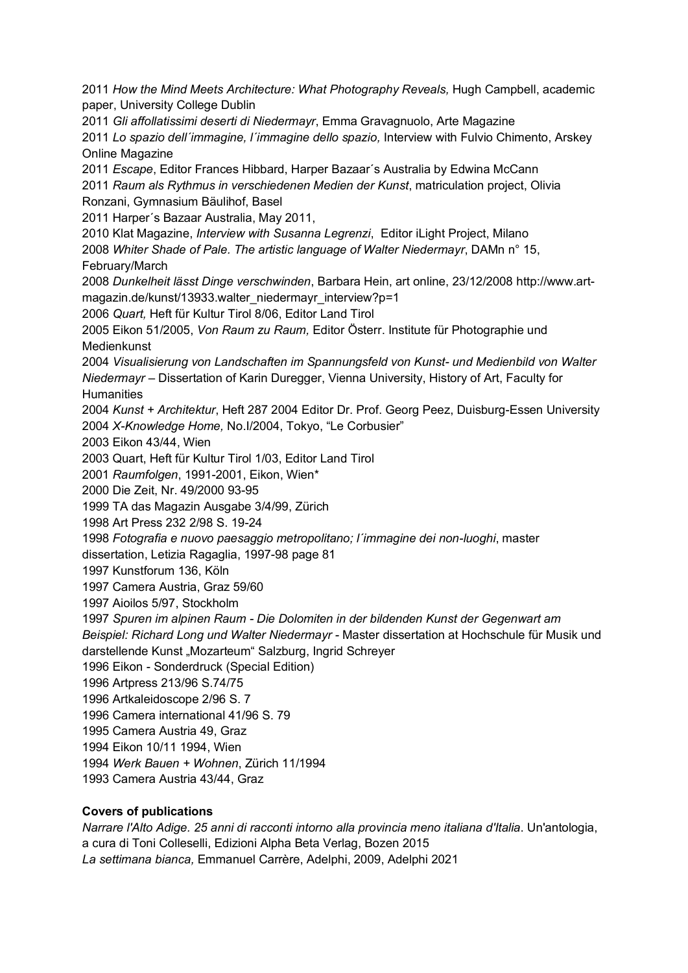2011 *How the Mind Meets Architecture: What Photography Reveals,* Hugh Campbell, academic paper, University College Dublin 2011 *Gli affollatissimi deserti di Niedermayr*, Emma Gravagnuolo, Arte Magazine 2011 *Lo spazio dell´immagine, l´immagine dello spazio,* Interview with Fulvio Chimento, Arskey Online Magazine 2011 *Escape*, Editor Frances Hibbard, Harper Bazaar´s Australia by Edwina McCann 2011 *Raum als Rythmus in verschiedenen Medien der Kunst*, matriculation project, Olivia Ronzani, Gymnasium Bäulihof, Basel 2011 Harper´s Bazaar Australia, May 2011, 2010 Klat Magazine, *Interview with Susanna Legrenzi*, Editor iLight Project, Milano 2008 *Whiter Shade of Pale. The artistic language of Walter Niedermayr*, DAMn n° 15, February/March 2008 *Dunkelheit lässt Dinge verschwinden*, Barbara Hein, art online, 23/12/2008 http://www.artmagazin.de/kunst/13933.walter\_niedermayr\_interview?p=1 2006 *Quart,* Heft für Kultur Tirol 8/06, Editor Land Tirol 2005 Eikon 51/2005, *Von Raum zu Raum,* Editor Österr. Institute für Photographie und Medienkunst 2004 *Visualisierung von Landschaften im Spannungsfeld von Kunst- und Medienbild von Walter Niedermayr* – Dissertation of Karin Duregger, Vienna University, History of Art, Faculty for **Humanities** 2004 *Kunst + Architektur*, Heft 287 2004 Editor Dr. Prof. Georg Peez, Duisburg-Essen University 2004 *X-Knowledge Home,* No.I/2004, Tokyo, "Le Corbusier" 2003 Eikon 43/44, Wien 2003 Quart, Heft für Kultur Tirol 1/03, Editor Land Tirol 2001 *Raumfolgen*, 1991-2001, Eikon, Wien\* 2000 Die Zeit, Nr. 49/2000 93-95 1999 TA das Magazin Ausgabe 3/4/99, Zürich 1998 Art Press 232 2/98 S. 19-24 1998 *Fotografia e nuovo paesaggio metropolitano; l´immagine dei non-luoghi*, master dissertation, Letizia Ragaglia, 1997-98 page 81 1997 Kunstforum 136, Köln 1997 Camera Austria, Graz 59/60 1997 Aioilos 5/97, Stockholm 1997 *Spuren im alpinen Raum - Die Dolomiten in der bildenden Kunst der Gegenwart am Beispiel: Richard Long und Walter Niedermayr -* Master dissertation at Hochschule für Musik und darstellende Kunst "Mozarteum" Salzburg, Ingrid Schreyer 1996 Eikon - Sonderdruck (Special Edition) 1996 Artpress 213/96 S.74/75 1996 Artkaleidoscope 2/96 S. 7 1996 Camera international 41/96 S. 79 1995 Camera Austria 49, Graz 1994 Eikon 10/11 1994, Wien 1994 *Werk Bauen + Wohnen*, Zürich 11/1994 1993 Camera Austria 43/44, Graz

### **Covers of publications**

*Narrare l'Alto Adige. 25 anni di racconti intorno alla provincia meno italiana d'Italia*. Un'antologia, a cura di Toni Colleselli, Edizioni Alpha Beta Verlag, Bozen 2015 *La settimana bianca,* Emmanuel Carrère, Adelphi, 2009, Adelphi 2021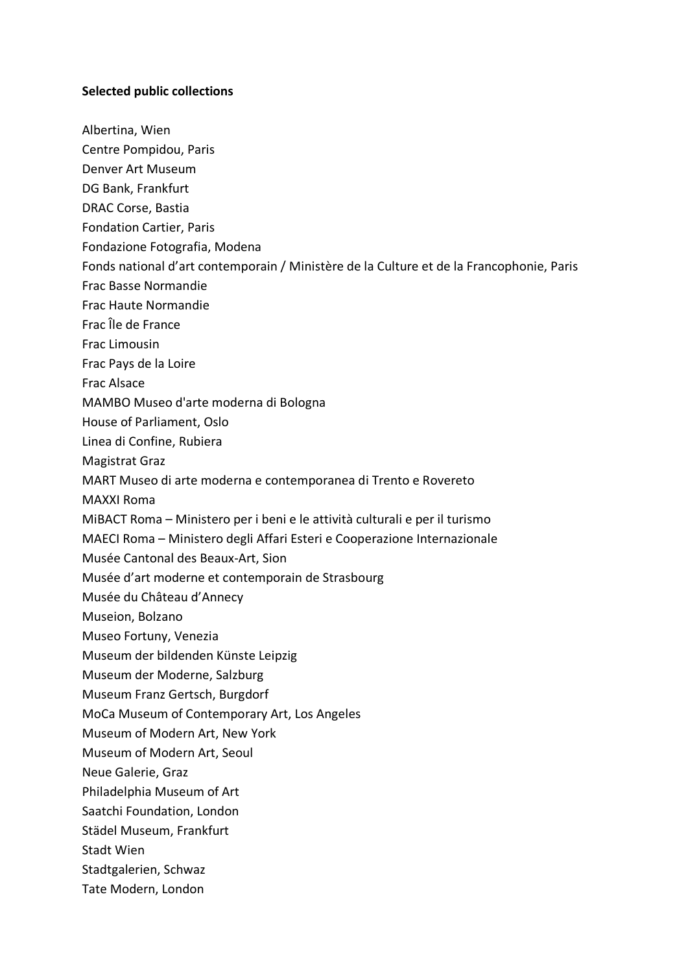#### **Selected public collections**

Albertina, Wien

Centre Pompidou, Paris

- Denver Art Museum
- DG Bank, Frankfurt
- DRAC Corse, Bastia
- Fondation Cartier, Paris
- Fondazione Fotografia, Modena
- Fonds national d'art contemporain / Ministère de la Culture et de la Francophonie, Paris
- Frac Basse Normandie
- Frac Haute Normandie
- Frac Île de France
- Frac Limousin
- Frac Pays de la Loire
- Frac Alsace
- MAMBO Museo d'arte moderna di Bologna
- House of Parliament, Oslo
- Linea di Confine, Rubiera
- Magistrat Graz
- MART Museo di arte moderna e contemporanea di Trento e Rovereto
- MAXXI Roma
- MiBACT Roma Ministero per i beni e le attività culturali e per il turismo
- MAECI Roma Ministero degli Affari Esteri e Cooperazione Internazionale
- Musée Cantonal des Beaux-Art, Sion
- Musée d'art moderne et contemporain de Strasbourg
- Musée du Château d'Annecy
- Museion, Bolzano
- Museo Fortuny, Venezia
- Museum der bildenden Künste Leipzig
- Museum der Moderne, Salzburg
- Museum Franz Gertsch, Burgdorf
- MoCa Museum of Contemporary Art, Los Angeles
- Museum of Modern Art, New York
- Museum of Modern Art, Seoul
- Neue Galerie, Graz
- Philadelphia Museum of Art
- Saatchi Foundation, London
- Städel Museum, Frankfurt
- Stadt Wien
- Stadtgalerien, Schwaz
- Tate Modern, London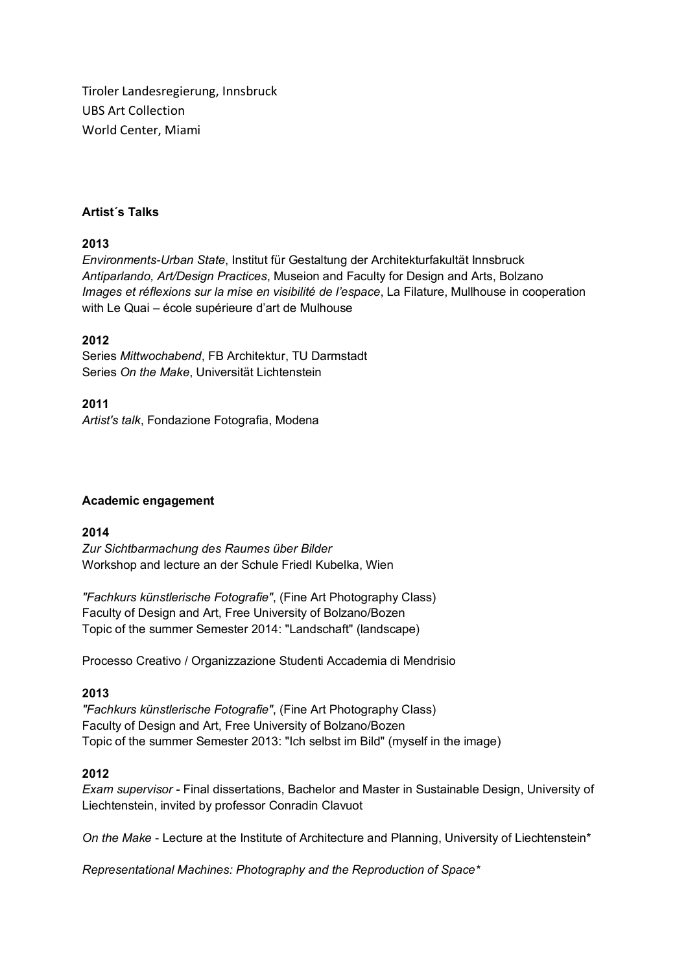Tiroler Landesregierung, Innsbruck UBS Art Collection World Center, Miami

### **Artist´s Talks**

### **2013**

*Environments-Urban State*, Institut für Gestaltung der Architekturfakultät Innsbruck *Antiparlando, Art/Design Practices*, Museion and Faculty for Design and Arts, Bolzano *Images et réflexions sur la mise en visibilité de l'espace*, La Filature, Mullhouse in cooperation with Le Quai – école supérieure d'art de Mulhouse

### **2012**

Series *Mittwochabend*, FB Architektur, TU Darmstadt Series *On the Make*, Universität Lichtenstein

**2011** *Artist's talk*, Fondazione Fotografia, Modena

#### **Academic engagement**

### **2014**

*Zur Sichtbarmachung des Raumes über Bilder* Workshop and lecture an der Schule Friedl Kubelka, Wien

*"Fachkurs künstlerische Fotografie"*, (Fine Art Photography Class) Faculty of Design and Art, Free University of Bolzano/Bozen Topic of the summer Semester 2014: "Landschaft" (landscape)

Processo Creativo / Organizzazione Studenti Accademia di Mendrisio

#### **2013**

*"Fachkurs künstlerische Fotografie"*, (Fine Art Photography Class) Faculty of Design and Art, Free University of Bolzano/Bozen Topic of the summer Semester 2013: "Ich selbst im Bild" (myself in the image)

#### **2012**

*Exam supervisor -* Final dissertations, Bachelor and Master in Sustainable Design, University of Liechtenstein, invited by professor Conradin Clavuot

*On the Make* - Lecture at the Institute of Architecture and Planning, University of Liechtenstein\*

*Representational Machines: Photography and the Reproduction of Space\**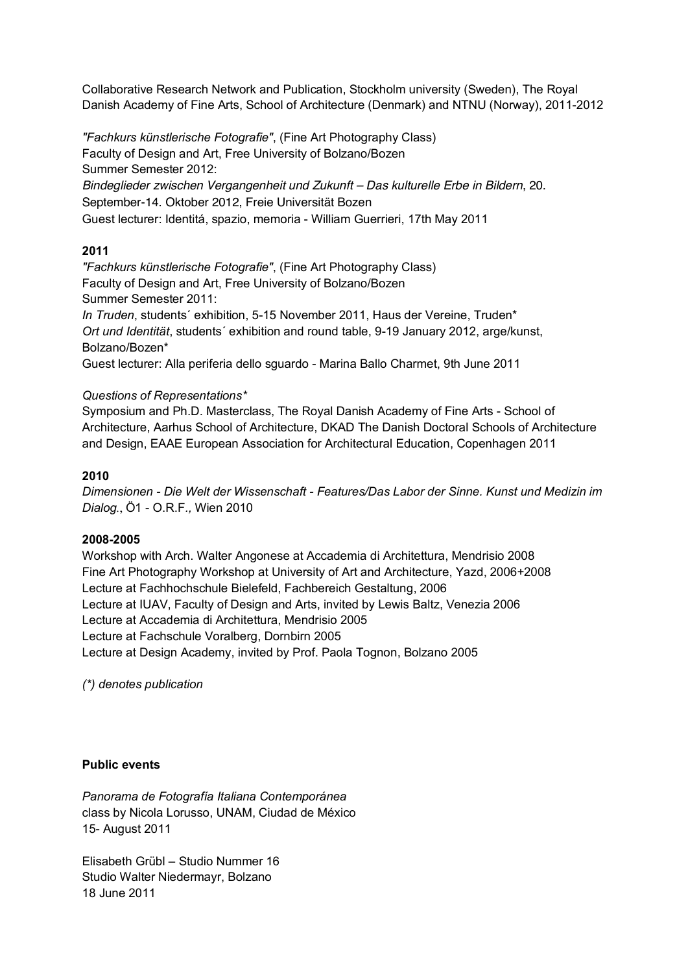Collaborative Research Network and Publication, Stockholm university (Sweden), The Royal Danish Academy of Fine Arts, School of Architecture (Denmark) and NTNU (Norway), 2011-2012

*"Fachkurs künstlerische Fotografie"*, (Fine Art Photography Class) Faculty of Design and Art, Free University of Bolzano/Bozen Summer Semester 2012: *Bindeglieder zwischen Vergangenheit und Zukunft – Das kulturelle Erbe in Bildern*, 20. September-14. Oktober 2012, Freie Universität Bozen Guest lecturer: Identitá, spazio, memoria - William Guerrieri, 17th May 2011

### **2011**

*"Fachkurs künstlerische Fotografie"*, (Fine Art Photography Class) Faculty of Design and Art, Free University of Bolzano/Bozen Summer Semester 2011:

*In Truden*, students´ exhibition, 5-15 November 2011, Haus der Vereine, Truden\* *Ort und Identität*, students´ exhibition and round table, 9-19 January 2012, arge/kunst, Bolzano/Bozen\*

Guest lecturer: Alla periferia dello sguardo - Marina Ballo Charmet, 9th June 2011

### *Questions of Representations\**

Symposium and Ph.D. Masterclass, The Royal Danish Academy of Fine Arts - School of Architecture, Aarhus School of Architecture, DKAD The Danish Doctoral Schools of Architecture and Design, EAAE European Association for Architectural Education, Copenhagen 2011

### **2010**

*Dimensionen - Die Welt der Wissenschaft - Features/Das Labor der Sinne. Kunst und Medizin im Dialog.*, Ö1 - O.R.F*.,* Wien 2010

### **2008-2005**

Workshop with Arch. Walter Angonese at Accademia di Architettura, Mendrisio 2008 Fine Art Photography Workshop at University of Art and Architecture, Yazd, 2006+2008 Lecture at Fachhochschule Bielefeld, Fachbereich Gestaltung, 2006 Lecture at IUAV, Faculty of Design and Arts, invited by Lewis Baltz, Venezia 2006 Lecture at Accademia di Architettura, Mendrisio 2005 Lecture at Fachschule Voralberg, Dornbirn 2005 Lecture at Design Academy, invited by Prof. Paola Tognon, Bolzano 2005

*(\*) denotes publication*

### **Public events**

*Panorama de Fotografía Italiana Contemporánea* class by Nicola Lorusso, UNAM, Ciudad de México 15- August 2011

Elisabeth Grübl – Studio Nummer 16 Studio Walter Niedermayr, Bolzano 18 June 2011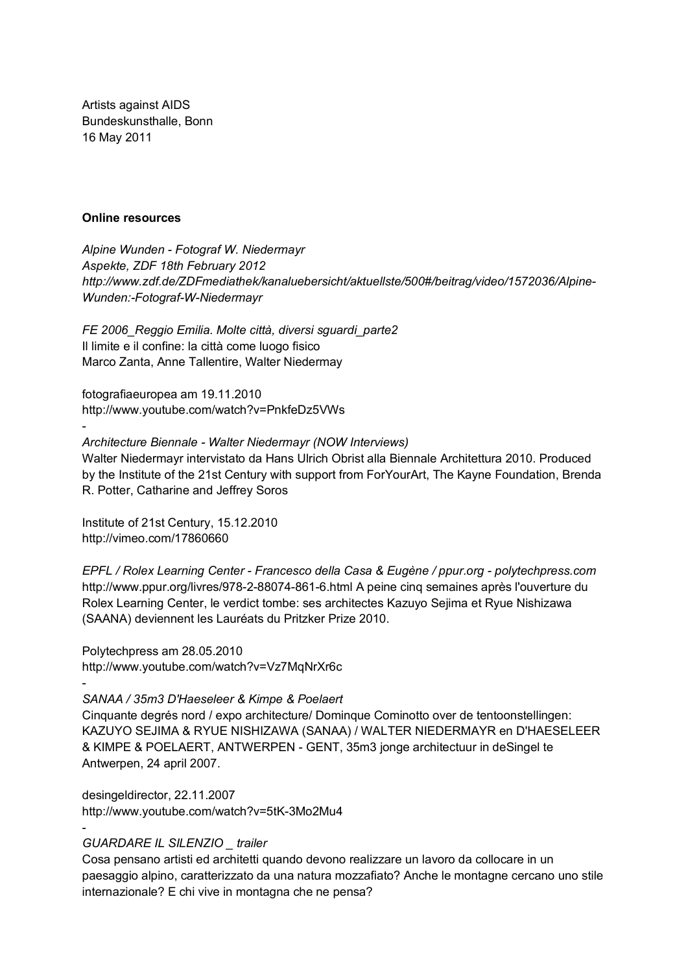Artists against AIDS Bundeskunsthalle, Bonn 16 May 2011

#### **Online resources**

-

-

-

*Alpine Wunden - Fotograf W. Niedermayr Aspekte, ZDF 18th February 2012 http://www.zdf.de/ZDFmediathek/kanaluebersicht/aktuellste/500#/beitrag/video/1572036/Alpine-Wunden:-Fotograf-W-Niedermayr*

*FE 2006\_Reggio Emilia. Molte città, diversi sguardi\_parte2*  Il limite e il confine: la città come luogo fisico Marco Zanta, Anne Tallentire, Walter Niedermay

fotografiaeuropea am 19.11.2010 http://www.youtube.com/watch?v=PnkfeDz5VWs

## *Architecture Biennale - Walter Niedermayr (NOW Interviews)*

Walter Niedermayr intervistato da Hans Ulrich Obrist alla Biennale Architettura 2010. Produced by the Institute of the 21st Century with support from ForYourArt, The Kayne Foundation, Brenda R. Potter, Catharine and Jeffrey Soros

Institute of 21st Century, 15.12.2010 http://vimeo.com/17860660

*EPFL / Rolex Learning Center - Francesco della Casa & Eugène / ppur.org - polytechpress.com*  http://www.ppur.org/livres/978-2-88074-861-6.html A peine cinq semaines après l'ouverture du Rolex Learning Center, le verdict tombe: ses architectes Kazuyo Sejima et Ryue Nishizawa (SAANA) deviennent les Lauréats du Pritzker Prize 2010.

Polytechpress am 28.05.2010 http://www.youtube.com/watch?v=Vz7MqNrXr6c

#### *SANAA / 35m3 D'Haeseleer & Kimpe & Poelaert*

Cinquante degrés nord / expo architecture/ Dominque Cominotto over de tentoonstellingen: KAZUYO SEJIMA & RYUE NISHIZAWA (SANAA) / WALTER NIEDERMAYR en D'HAESELEER & KIMPE & POELAERT, ANTWERPEN - GENT, 35m3 jonge architectuur in deSingel te Antwerpen, 24 april 2007.

desingeldirector, 22.11.2007 http://www.youtube.com/watch?v=5tK-3Mo2Mu4

#### *GUARDARE IL SILENZIO \_ trailer*

Cosa pensano artisti ed architetti quando devono realizzare un lavoro da collocare in un paesaggio alpino, caratterizzato da una natura mozzafiato? Anche le montagne cercano uno stile internazionale? E chi vive in montagna che ne pensa?